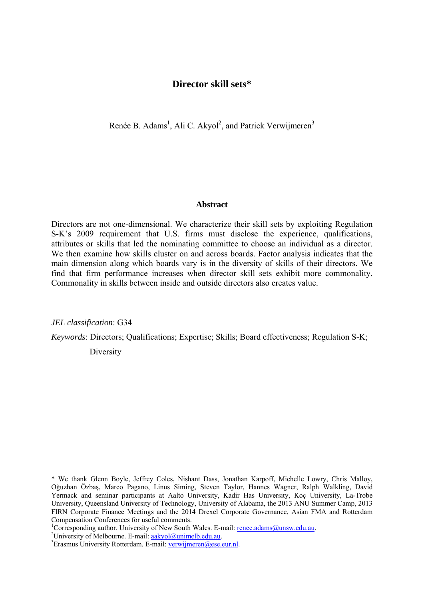# **Director skill sets\***

Renée B. Adams<sup>1</sup>, Ali C. Akyol<sup>2</sup>, and Patrick Verwijmeren<sup>3</sup>

### **Abstract**

Directors are not one-dimensional. We characterize their skill sets by exploiting Regulation S-K's 2009 requirement that U.S. firms must disclose the experience, qualifications, attributes or skills that led the nominating committee to choose an individual as a director. We then examine how skills cluster on and across boards. Factor analysis indicates that the main dimension along which boards vary is in the diversity of skills of their directors. We find that firm performance increases when director skill sets exhibit more commonality. Commonality in skills between inside and outside directors also creates value.

*JEL classification*: G34

*Keywords*: Directors; Qualifications; Expertise; Skills; Board effectiveness; Regulation S-K;

**Diversity** 

\* We thank Glenn Boyle, Jeffrey Coles, Nishant Dass, Jonathan Karpoff, Michelle Lowry, Chris Malloy, Oğuzhan Özbaş, Marco Pagano, Linus Siming, Steven Taylor, Hannes Wagner, Ralph Walkling, David Yermack and seminar participants at Aalto University, Kadir Has University, Koç University, La-Trobe University, Queensland University of Technology, University of Alabama, the 2013 ANU Summer Camp, 2013 FIRN Corporate Finance Meetings and the 2014 Drexel Corporate Governance, Asian FMA and Rotterdam Compensation Conferences for useful comments. 1

<sup>1</sup>Corresponding author. University of New South Wales. E-mail: renee.adams@unsw.edu.au.

<sup>2</sup>University of Melbourne. E-mail:  $a$ akyol@unimelb.edu.au.

 ${}^{3}$ Erasmus University Rotterdam. E-mail: verwijmeren@ese.eur.nl.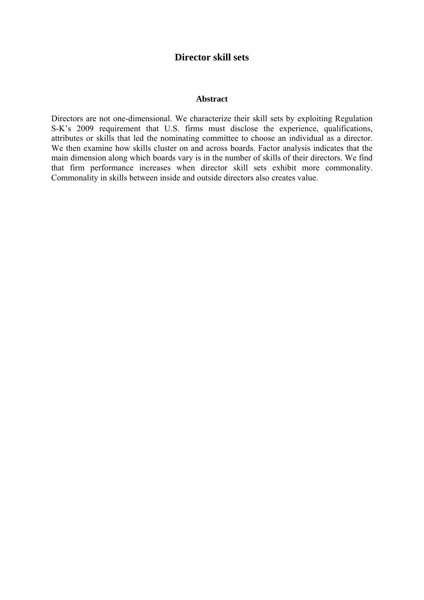# **Director skill sets**

### **Abstract**

Directors are not one-dimensional. We characterize their skill sets by exploiting Regulation S-K's 2009 requirement that U.S. firms must disclose the experience, qualifications, attributes or skills that led the nominating committee to choose an individual as a director. We then examine how skills cluster on and across boards. Factor analysis indicates that the main dimension along which boards vary is in the number of skills of their directors. We find that firm performance increases when director skill sets exhibit more commonality. Commonality in skills between inside and outside directors also creates value.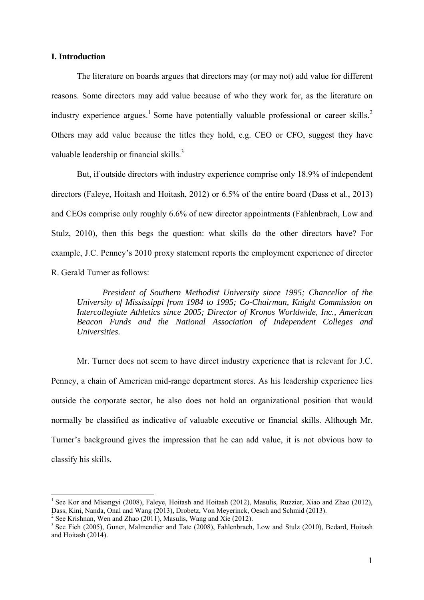### **I. Introduction**

The literature on boards argues that directors may (or may not) add value for different reasons. Some directors may add value because of who they work for, as the literature on industry experience argues.<sup>1</sup> Some have potentially valuable professional or career skills.<sup>2</sup> Others may add value because the titles they hold, e.g. CEO or CFO, suggest they have valuable leadership or financial skills.<sup>3</sup>

But, if outside directors with industry experience comprise only 18.9% of independent directors (Faleye, Hoitash and Hoitash, 2012) or 6.5% of the entire board (Dass et al., 2013) and CEOs comprise only roughly 6.6% of new director appointments (Fahlenbrach, Low and Stulz, 2010), then this begs the question: what skills do the other directors have? For example, J.C. Penney's 2010 proxy statement reports the employment experience of director R. Gerald Turner as follows:

*President of Southern Methodist University since 1995; Chancellor of the University of Mississippi from 1984 to 1995; Co-Chairman, Knight Commission on Intercollegiate Athletics since 2005; Director of Kronos Worldwide, Inc., American Beacon Funds and the National Association of Independent Colleges and Universities.*

Mr. Turner does not seem to have direct industry experience that is relevant for J.C. Penney, a chain of American mid-range department stores. As his leadership experience lies outside the corporate sector, he also does not hold an organizational position that would normally be classified as indicative of valuable executive or financial skills. Although Mr. Turner's background gives the impression that he can add value, it is not obvious how to classify his skills.

<sup>&</sup>lt;sup>1</sup> See Kor and Misangyi (2008), Faleye, Hoitash and Hoitash (2012), Masulis, Ruzzier, Xiao and Zhao (2012), Dass, Kini, Nanda, Onal and Wang (2013), Drobetz, Von Meyerinck, Oesch and Schmid (2013).

 $2^2$  See Krishnan, Wen and Zhao (2011), Masulis, Wang and Xie (2012).

<sup>&</sup>lt;sup>3</sup> See Fich (2005), Guner, Malmendier and Tate (2008), Fahlenbrach, Low and Stulz (2010), Bedard, Hoitash and Hoitash (2014).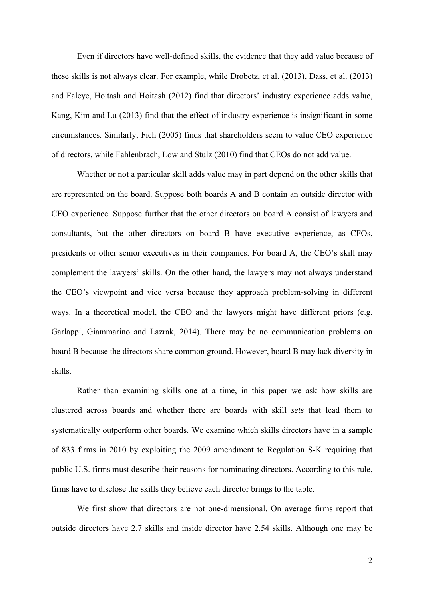Even if directors have well-defined skills, the evidence that they add value because of these skills is not always clear. For example, while Drobetz, et al. (2013), Dass, et al. (2013) and Faleye, Hoitash and Hoitash (2012) find that directors' industry experience adds value, Kang, Kim and Lu (2013) find that the effect of industry experience is insignificant in some circumstances. Similarly, Fich (2005) finds that shareholders seem to value CEO experience of directors, while Fahlenbrach, Low and Stulz (2010) find that CEOs do not add value.

Whether or not a particular skill adds value may in part depend on the other skills that are represented on the board. Suppose both boards A and B contain an outside director with CEO experience. Suppose further that the other directors on board A consist of lawyers and consultants, but the other directors on board B have executive experience, as CFOs, presidents or other senior executives in their companies. For board A, the CEO's skill may complement the lawyers' skills. On the other hand, the lawyers may not always understand the CEO's viewpoint and vice versa because they approach problem-solving in different ways. In a theoretical model, the CEO and the lawyers might have different priors (e.g. Garlappi, Giammarino and Lazrak, 2014). There may be no communication problems on board B because the directors share common ground. However, board B may lack diversity in skills.

Rather than examining skills one at a time, in this paper we ask how skills are clustered across boards and whether there are boards with skill *sets* that lead them to systematically outperform other boards. We examine which skills directors have in a sample of 833 firms in 2010 by exploiting the 2009 amendment to Regulation S-K requiring that public U.S. firms must describe their reasons for nominating directors. According to this rule, firms have to disclose the skills they believe each director brings to the table.

We first show that directors are not one-dimensional. On average firms report that outside directors have 2.7 skills and inside director have 2.54 skills. Although one may be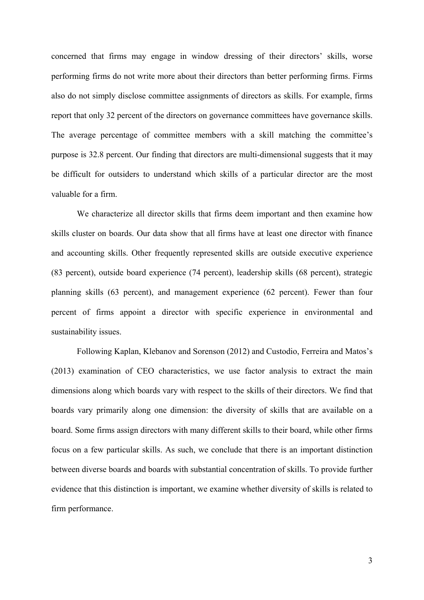concerned that firms may engage in window dressing of their directors' skills, worse performing firms do not write more about their directors than better performing firms. Firms also do not simply disclose committee assignments of directors as skills. For example, firms report that only 32 percent of the directors on governance committees have governance skills. The average percentage of committee members with a skill matching the committee's purpose is 32.8 percent. Our finding that directors are multi-dimensional suggests that it may be difficult for outsiders to understand which skills of a particular director are the most valuable for a firm.

We characterize all director skills that firms deem important and then examine how skills cluster on boards. Our data show that all firms have at least one director with finance and accounting skills. Other frequently represented skills are outside executive experience (83 percent), outside board experience (74 percent), leadership skills (68 percent), strategic planning skills (63 percent), and management experience (62 percent). Fewer than four percent of firms appoint a director with specific experience in environmental and sustainability issues.

Following Kaplan, Klebanov and Sorenson (2012) and Custodio, Ferreira and Matos's (2013) examination of CEO characteristics, we use factor analysis to extract the main dimensions along which boards vary with respect to the skills of their directors. We find that boards vary primarily along one dimension: the diversity of skills that are available on a board. Some firms assign directors with many different skills to their board, while other firms focus on a few particular skills. As such, we conclude that there is an important distinction between diverse boards and boards with substantial concentration of skills. To provide further evidence that this distinction is important, we examine whether diversity of skills is related to firm performance.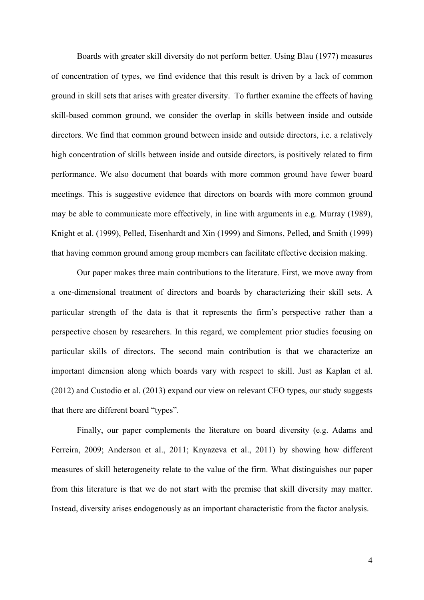Boards with greater skill diversity do not perform better. Using Blau (1977) measures of concentration of types, we find evidence that this result is driven by a lack of common ground in skill sets that arises with greater diversity. To further examine the effects of having skill-based common ground, we consider the overlap in skills between inside and outside directors. We find that common ground between inside and outside directors, i.e. a relatively high concentration of skills between inside and outside directors, is positively related to firm performance. We also document that boards with more common ground have fewer board meetings. This is suggestive evidence that directors on boards with more common ground may be able to communicate more effectively, in line with arguments in e.g. Murray (1989), Knight et al. (1999), Pelled, Eisenhardt and Xin (1999) and Simons, Pelled, and Smith (1999) that having common ground among group members can facilitate effective decision making.

Our paper makes three main contributions to the literature. First, we move away from a one-dimensional treatment of directors and boards by characterizing their skill sets. A particular strength of the data is that it represents the firm's perspective rather than a perspective chosen by researchers. In this regard, we complement prior studies focusing on particular skills of directors. The second main contribution is that we characterize an important dimension along which boards vary with respect to skill. Just as Kaplan et al. (2012) and Custodio et al. (2013) expand our view on relevant CEO types, our study suggests that there are different board "types".

Finally, our paper complements the literature on board diversity (e.g. Adams and Ferreira, 2009; Anderson et al., 2011; Knyazeva et al., 2011) by showing how different measures of skill heterogeneity relate to the value of the firm. What distinguishes our paper from this literature is that we do not start with the premise that skill diversity may matter. Instead, diversity arises endogenously as an important characteristic from the factor analysis.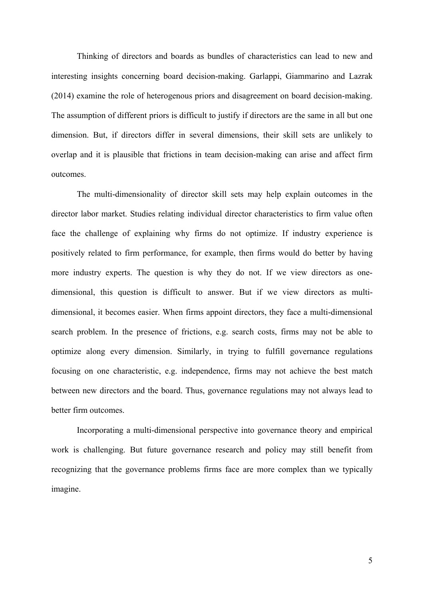Thinking of directors and boards as bundles of characteristics can lead to new and interesting insights concerning board decision-making. Garlappi, Giammarino and Lazrak (2014) examine the role of heterogenous priors and disagreement on board decision-making. The assumption of different priors is difficult to justify if directors are the same in all but one dimension. But, if directors differ in several dimensions, their skill sets are unlikely to overlap and it is plausible that frictions in team decision-making can arise and affect firm outcomes.

The multi-dimensionality of director skill sets may help explain outcomes in the director labor market. Studies relating individual director characteristics to firm value often face the challenge of explaining why firms do not optimize. If industry experience is positively related to firm performance, for example, then firms would do better by having more industry experts. The question is why they do not. If we view directors as onedimensional, this question is difficult to answer. But if we view directors as multidimensional, it becomes easier. When firms appoint directors, they face a multi-dimensional search problem. In the presence of frictions, e.g. search costs, firms may not be able to optimize along every dimension. Similarly, in trying to fulfill governance regulations focusing on one characteristic, e.g. independence, firms may not achieve the best match between new directors and the board. Thus, governance regulations may not always lead to better firm outcomes.

Incorporating a multi-dimensional perspective into governance theory and empirical work is challenging. But future governance research and policy may still benefit from recognizing that the governance problems firms face are more complex than we typically imagine.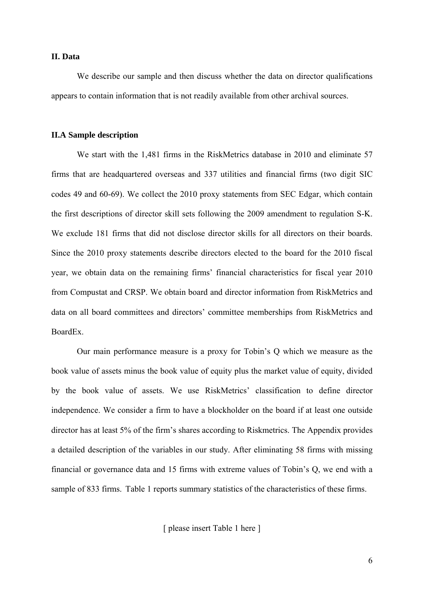### **II. Data**

We describe our sample and then discuss whether the data on director qualifications appears to contain information that is not readily available from other archival sources.

### **II.A Sample description**

We start with the 1,481 firms in the RiskMetrics database in 2010 and eliminate 57 firms that are headquartered overseas and 337 utilities and financial firms (two digit SIC codes 49 and 60-69). We collect the 2010 proxy statements from SEC Edgar, which contain the first descriptions of director skill sets following the 2009 amendment to regulation S-K. We exclude 181 firms that did not disclose director skills for all directors on their boards. Since the 2010 proxy statements describe directors elected to the board for the 2010 fiscal year, we obtain data on the remaining firms' financial characteristics for fiscal year 2010 from Compustat and CRSP. We obtain board and director information from RiskMetrics and data on all board committees and directors' committee memberships from RiskMetrics and BoardEx.

Our main performance measure is a proxy for Tobin's Q which we measure as the book value of assets minus the book value of equity plus the market value of equity, divided by the book value of assets. We use RiskMetrics' classification to define director independence. We consider a firm to have a blockholder on the board if at least one outside director has at least 5% of the firm's shares according to Riskmetrics. The Appendix provides a detailed description of the variables in our study. After eliminating 58 firms with missing financial or governance data and 15 firms with extreme values of Tobin's Q, we end with a sample of 833 firms. Table 1 reports summary statistics of the characteristics of these firms.

[ please insert Table 1 here ]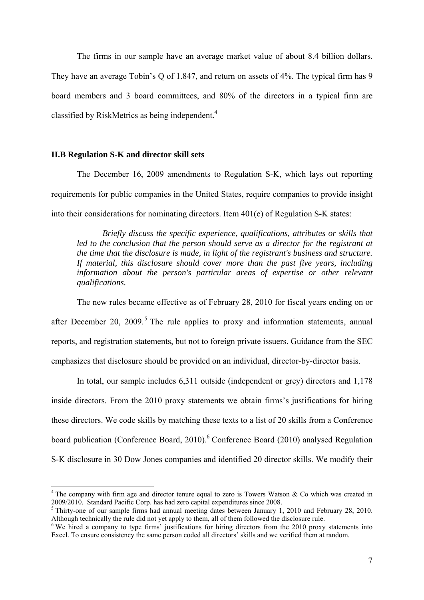The firms in our sample have an average market value of about 8.4 billion dollars. They have an average Tobin's Q of 1.847, and return on assets of 4%. The typical firm has 9 board members and 3 board committees, and 80% of the directors in a typical firm are classified by RiskMetrics as being independent.<sup>4</sup>

### **II.B Regulation S-K and director skill sets**

The December 16, 2009 amendments to Regulation S-K, which lays out reporting requirements for public companies in the United States, require companies to provide insight into their considerations for nominating directors. Item 401(e) of Regulation S-K states:

*Briefly discuss the specific experience, qualifications, attributes or skills that led to the conclusion that the person should serve as a director for the registrant at the time that the disclosure is made, in light of the registrant's business and structure. If material, this disclosure should cover more than the past five years, including information about the person's particular areas of expertise or other relevant qualifications.* 

The new rules became effective as of February 28, 2010 for fiscal years ending on or after December 20, 2009.<sup>5</sup> The rule applies to proxy and information statements, annual reports, and registration statements, but not to foreign private issuers. Guidance from the SEC emphasizes that disclosure should be provided on an individual, director-by-director basis.

In total, our sample includes 6,311 outside (independent or grey) directors and 1,178 inside directors. From the 2010 proxy statements we obtain firms's justifications for hiring these directors. We code skills by matching these texts to a list of 20 skills from a Conference board publication (Conference Board, 2010).<sup>6</sup> Conference Board (2010) analysed Regulation S-K disclosure in 30 Dow Jones companies and identified 20 director skills. We modify their

 $4$  The company with firm age and director tenure equal to zero is Towers Watson & Co which was created in 2009/2010. Standard Pacific Corp. has had zero capital expenditures since 2008.

<sup>&</sup>lt;sup>5</sup> Thirty-one of our sample firms had annual meeting dates between January 1, 2010 and February 28, 2010. Although technically the rule did not yet apply to them, all of them followed the disclosure rule.

<sup>&</sup>lt;sup>6</sup> We hired a company to type firms' justifications for hiring directors from the 2010 proxy statements into Excel. To ensure consistency the same person coded all directors' skills and we verified them at random.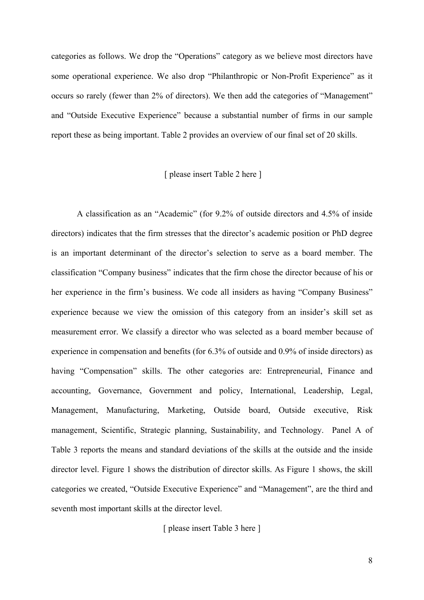categories as follows. We drop the "Operations" category as we believe most directors have some operational experience. We also drop "Philanthropic or Non-Profit Experience" as it occurs so rarely (fewer than 2% of directors). We then add the categories of "Management" and "Outside Executive Experience" because a substantial number of firms in our sample report these as being important. Table 2 provides an overview of our final set of 20 skills.

### [ please insert Table 2 here ]

A classification as an "Academic" (for 9.2% of outside directors and 4.5% of inside directors) indicates that the firm stresses that the director's academic position or PhD degree is an important determinant of the director's selection to serve as a board member. The classification "Company business" indicates that the firm chose the director because of his or her experience in the firm's business. We code all insiders as having "Company Business" experience because we view the omission of this category from an insider's skill set as measurement error. We classify a director who was selected as a board member because of experience in compensation and benefits (for 6.3% of outside and 0.9% of inside directors) as having "Compensation" skills. The other categories are: Entrepreneurial, Finance and accounting, Governance, Government and policy, International, Leadership, Legal, Management, Manufacturing, Marketing, Outside board, Outside executive, Risk management, Scientific, Strategic planning, Sustainability, and Technology. Panel A of Table 3 reports the means and standard deviations of the skills at the outside and the inside director level. Figure 1 shows the distribution of director skills. As Figure 1 shows, the skill categories we created, "Outside Executive Experience" and "Management", are the third and seventh most important skills at the director level.

### [ please insert Table 3 here ]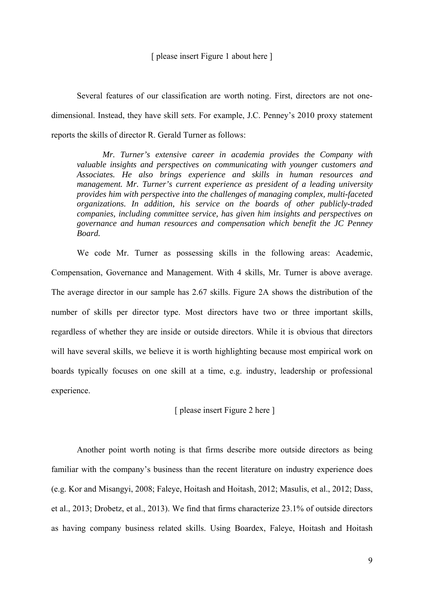Several features of our classification are worth noting. First, directors are not onedimensional. Instead, they have skill *sets*. For example, J.C. Penney's 2010 proxy statement reports the skills of director R. Gerald Turner as follows:

*Mr. Turner's extensive career in academia provides the Company with valuable insights and perspectives on communicating with younger customers and Associates. He also brings experience and skills in human resources and management. Mr. Turner's current experience as president of a leading university provides him with perspective into the challenges of managing complex, multi-faceted organizations. In addition, his service on the boards of other publicly-traded companies, including committee service, has given him insights and perspectives on governance and human resources and compensation which benefit the JC Penney Board.*

We code Mr. Turner as possessing skills in the following areas: Academic, Compensation, Governance and Management. With 4 skills, Mr. Turner is above average. The average director in our sample has 2.67 skills. Figure 2A shows the distribution of the number of skills per director type. Most directors have two or three important skills, regardless of whether they are inside or outside directors. While it is obvious that directors will have several skills, we believe it is worth highlighting because most empirical work on boards typically focuses on one skill at a time, e.g. industry, leadership or professional experience.

[ please insert Figure 2 here ]

Another point worth noting is that firms describe more outside directors as being familiar with the company's business than the recent literature on industry experience does (e.g. Kor and Misangyi, 2008; Faleye, Hoitash and Hoitash, 2012; Masulis, et al., 2012; Dass, et al., 2013; Drobetz, et al., 2013). We find that firms characterize 23.1% of outside directors as having company business related skills. Using Boardex, Faleye, Hoitash and Hoitash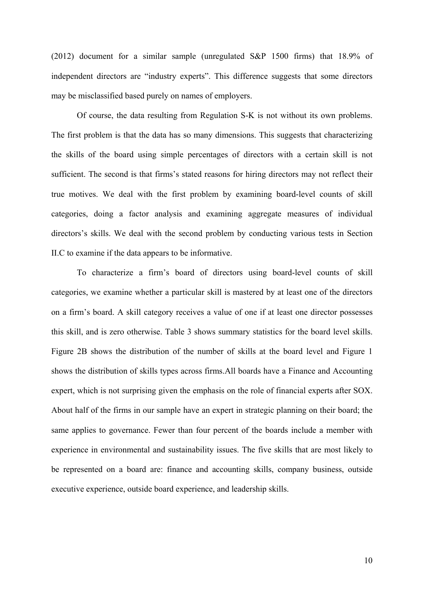(2012) document for a similar sample (unregulated S&P 1500 firms) that 18.9% of independent directors are "industry experts". This difference suggests that some directors may be misclassified based purely on names of employers.

Of course, the data resulting from Regulation S-K is not without its own problems. The first problem is that the data has so many dimensions. This suggests that characterizing the skills of the board using simple percentages of directors with a certain skill is not sufficient. The second is that firms's stated reasons for hiring directors may not reflect their true motives. We deal with the first problem by examining board-level counts of skill categories, doing a factor analysis and examining aggregate measures of individual directors's skills. We deal with the second problem by conducting various tests in Section II.C to examine if the data appears to be informative.

To characterize a firm's board of directors using board-level counts of skill categories, we examine whether a particular skill is mastered by at least one of the directors on a firm's board. A skill category receives a value of one if at least one director possesses this skill, and is zero otherwise. Table 3 shows summary statistics for the board level skills. Figure 2B shows the distribution of the number of skills at the board level and Figure 1 shows the distribution of skills types across firms.All boards have a Finance and Accounting expert, which is not surprising given the emphasis on the role of financial experts after SOX. About half of the firms in our sample have an expert in strategic planning on their board; the same applies to governance. Fewer than four percent of the boards include a member with experience in environmental and sustainability issues. The five skills that are most likely to be represented on a board are: finance and accounting skills, company business, outside executive experience, outside board experience, and leadership skills.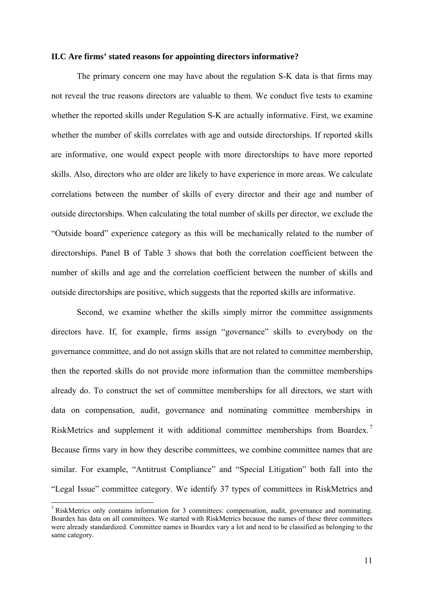### **II.C Are firms' stated reasons for appointing directors informative?**

The primary concern one may have about the regulation S-K data is that firms may not reveal the true reasons directors are valuable to them. We conduct five tests to examine whether the reported skills under Regulation S-K are actually informative. First, we examine whether the number of skills correlates with age and outside directorships. If reported skills are informative, one would expect people with more directorships to have more reported skills. Also, directors who are older are likely to have experience in more areas. We calculate correlations between the number of skills of every director and their age and number of outside directorships. When calculating the total number of skills per director, we exclude the "Outside board" experience category as this will be mechanically related to the number of directorships. Panel B of Table 3 shows that both the correlation coefficient between the number of skills and age and the correlation coefficient between the number of skills and outside directorships are positive, which suggests that the reported skills are informative.

Second, we examine whether the skills simply mirror the committee assignments directors have. If, for example, firms assign "governance" skills to everybody on the governance committee, and do not assign skills that are not related to committee membership, then the reported skills do not provide more information than the committee memberships already do. To construct the set of committee memberships for all directors, we start with data on compensation, audit, governance and nominating committee memberships in RiskMetrics and supplement it with additional committee memberships from Boardex. Because firms vary in how they describe committees, we combine committee names that are similar. For example, "Antitrust Compliance" and "Special Litigation" both fall into the "Legal Issue" committee category. We identify 37 types of committees in RiskMetrics and

<sup>&</sup>lt;sup>7</sup> RiskMetrics only contains information for 3 committees: compensation, audit, governance and nominating. Boardex has data on all committees. We started with RiskMetrics because the names of these three committees were already standardized. Committee names in Boardex vary a lot and need to be classified as belonging to the same category.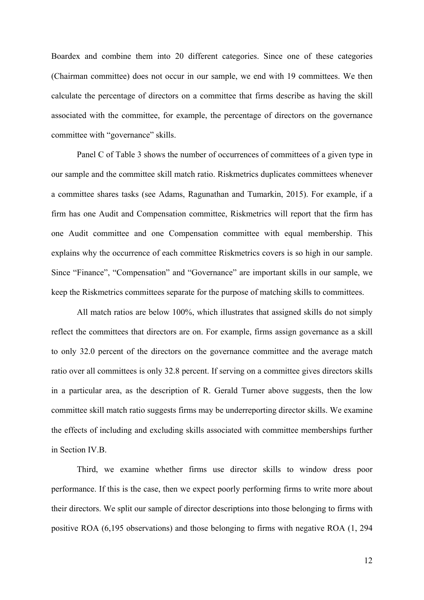Boardex and combine them into 20 different categories. Since one of these categories (Chairman committee) does not occur in our sample, we end with 19 committees. We then calculate the percentage of directors on a committee that firms describe as having the skill associated with the committee, for example, the percentage of directors on the governance committee with "governance" skills.

Panel C of Table 3 shows the number of occurrences of committees of a given type in our sample and the committee skill match ratio. Riskmetrics duplicates committees whenever a committee shares tasks (see Adams, Ragunathan and Tumarkin, 2015). For example, if a firm has one Audit and Compensation committee, Riskmetrics will report that the firm has one Audit committee and one Compensation committee with equal membership. This explains why the occurrence of each committee Riskmetrics covers is so high in our sample. Since "Finance", "Compensation" and "Governance" are important skills in our sample, we keep the Riskmetrics committees separate for the purpose of matching skills to committees.

All match ratios are below 100%, which illustrates that assigned skills do not simply reflect the committees that directors are on. For example, firms assign governance as a skill to only 32.0 percent of the directors on the governance committee and the average match ratio over all committees is only 32.8 percent. If serving on a committee gives directors skills in a particular area, as the description of R. Gerald Turner above suggests, then the low committee skill match ratio suggests firms may be underreporting director skills. We examine the effects of including and excluding skills associated with committee memberships further in Section IV.B.

Third, we examine whether firms use director skills to window dress poor performance. If this is the case, then we expect poorly performing firms to write more about their directors. We split our sample of director descriptions into those belonging to firms with positive ROA (6,195 observations) and those belonging to firms with negative ROA (1, 294

12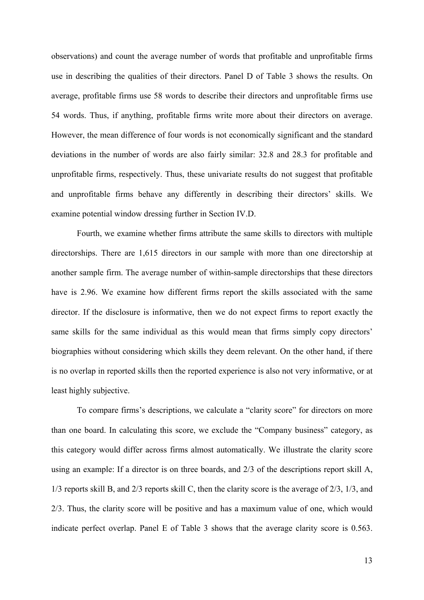observations) and count the average number of words that profitable and unprofitable firms use in describing the qualities of their directors. Panel D of Table 3 shows the results. On average, profitable firms use 58 words to describe their directors and unprofitable firms use 54 words. Thus, if anything, profitable firms write more about their directors on average. However, the mean difference of four words is not economically significant and the standard deviations in the number of words are also fairly similar: 32.8 and 28.3 for profitable and unprofitable firms, respectively. Thus, these univariate results do not suggest that profitable and unprofitable firms behave any differently in describing their directors' skills. We examine potential window dressing further in Section IV.D.

Fourth, we examine whether firms attribute the same skills to directors with multiple directorships. There are 1,615 directors in our sample with more than one directorship at another sample firm. The average number of within-sample directorships that these directors have is 2.96. We examine how different firms report the skills associated with the same director. If the disclosure is informative, then we do not expect firms to report exactly the same skills for the same individual as this would mean that firms simply copy directors' biographies without considering which skills they deem relevant. On the other hand, if there is no overlap in reported skills then the reported experience is also not very informative, or at least highly subjective.

To compare firms's descriptions, we calculate a "clarity score" for directors on more than one board. In calculating this score, we exclude the "Company business" category, as this category would differ across firms almost automatically. We illustrate the clarity score using an example: If a director is on three boards, and 2/3 of the descriptions report skill A, 1/3 reports skill B, and 2/3 reports skill C, then the clarity score is the average of 2/3, 1/3, and 2/3. Thus, the clarity score will be positive and has a maximum value of one, which would indicate perfect overlap. Panel E of Table 3 shows that the average clarity score is 0.563.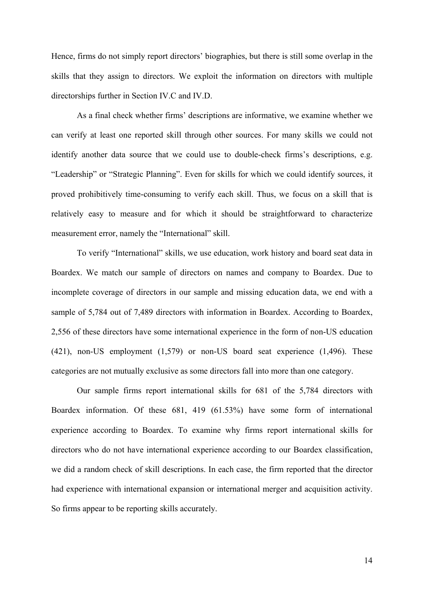Hence, firms do not simply report directors' biographies, but there is still some overlap in the skills that they assign to directors. We exploit the information on directors with multiple directorships further in Section IV.C and IV.D.

As a final check whether firms' descriptions are informative, we examine whether we can verify at least one reported skill through other sources. For many skills we could not identify another data source that we could use to double-check firms's descriptions, e.g. "Leadership" or "Strategic Planning". Even for skills for which we could identify sources, it proved prohibitively time-consuming to verify each skill. Thus, we focus on a skill that is relatively easy to measure and for which it should be straightforward to characterize measurement error, namely the "International" skill.

To verify "International" skills, we use education, work history and board seat data in Boardex. We match our sample of directors on names and company to Boardex. Due to incomplete coverage of directors in our sample and missing education data, we end with a sample of 5,784 out of 7,489 directors with information in Boardex. According to Boardex, 2,556 of these directors have some international experience in the form of non-US education (421), non-US employment (1,579) or non-US board seat experience (1,496). These categories are not mutually exclusive as some directors fall into more than one category.

Our sample firms report international skills for 681 of the 5,784 directors with Boardex information. Of these 681, 419 (61.53%) have some form of international experience according to Boardex. To examine why firms report international skills for directors who do not have international experience according to our Boardex classification, we did a random check of skill descriptions. In each case, the firm reported that the director had experience with international expansion or international merger and acquisition activity. So firms appear to be reporting skills accurately.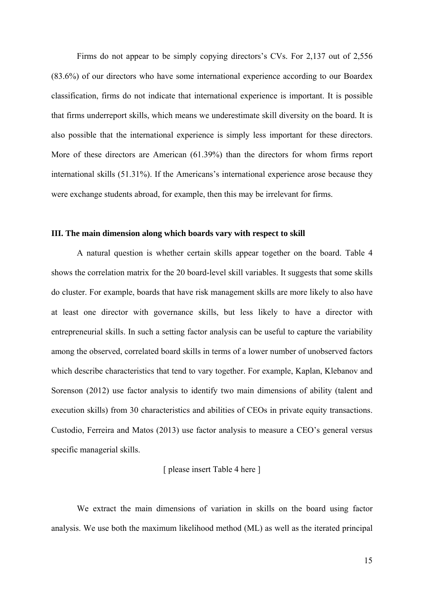Firms do not appear to be simply copying directors's CVs. For 2,137 out of 2,556 (83.6%) of our directors who have some international experience according to our Boardex classification, firms do not indicate that international experience is important. It is possible that firms underreport skills, which means we underestimate skill diversity on the board. It is also possible that the international experience is simply less important for these directors. More of these directors are American (61.39%) than the directors for whom firms report international skills (51.31%). If the Americans's international experience arose because they were exchange students abroad, for example, then this may be irrelevant for firms.

### **III. The main dimension along which boards vary with respect to skill**

A natural question is whether certain skills appear together on the board. Table 4 shows the correlation matrix for the 20 board-level skill variables. It suggests that some skills do cluster. For example, boards that have risk management skills are more likely to also have at least one director with governance skills, but less likely to have a director with entrepreneurial skills. In such a setting factor analysis can be useful to capture the variability among the observed, correlated board skills in terms of a lower number of unobserved factors which describe characteristics that tend to vary together. For example, Kaplan, Klebanov and Sorenson (2012) use factor analysis to identify two main dimensions of ability (talent and execution skills) from 30 characteristics and abilities of CEOs in private equity transactions. Custodio, Ferreira and Matos (2013) use factor analysis to measure a CEO's general versus specific managerial skills.

[ please insert Table 4 here ]

We extract the main dimensions of variation in skills on the board using factor analysis. We use both the maximum likelihood method (ML) as well as the iterated principal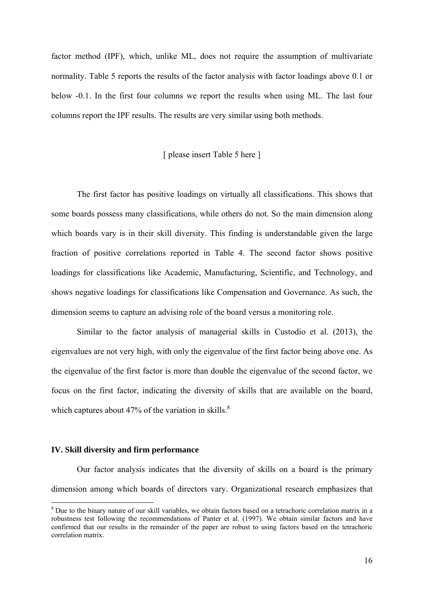factor method (IPF), which, unlike ML, does not require the assumption of multivariate normality. Table 5 reports the results of the factor analysis with factor loadings above 0.1 or below -0.1. In the first four columns we report the results when using ML. The last four columns report the IPF results. The results are very similar using both methods.

### [ please insert Table 5 here ]

The first factor has positive loadings on virtually all classifications. This shows that some boards possess many classifications, while others do not. So the main dimension along which boards vary is in their skill diversity. This finding is understandable given the large fraction of positive correlations reported in Table 4. The second factor shows positive loadings for classifications like Academic, Manufacturing, Scientific, and Technology, and shows negative loadings for classifications like Compensation and Governance. As such, the dimension seems to capture an advising role of the board versus a monitoring role.

Similar to the factor analysis of managerial skills in Custodio et al. (2013), the eigenvalues are not very high, with only the eigenvalue of the first factor being above one. As the eigenvalue of the first factor is more than double the eigenvalue of the second factor, we focus on the first factor, indicating the diversity of skills that are available on the board, which captures about 47% of the variation in skills. $8<sup>8</sup>$ 

### **IV. Skill diversity and firm performance**

Our factor analysis indicates that the diversity of skills on a board is the primary dimension among which boards of directors vary. Organizational research emphasizes that

<sup>&</sup>lt;sup>8</sup> Due to the binary nature of our skill variables, we obtain factors based on a tetrachoric correlation matrix in a robustness test following the recommendations of Panter et al. (1997). We obtain similar factors and have confirmed that our results in the remainder of the paper are robust to using factors based on the tetrachoric correlation matrix.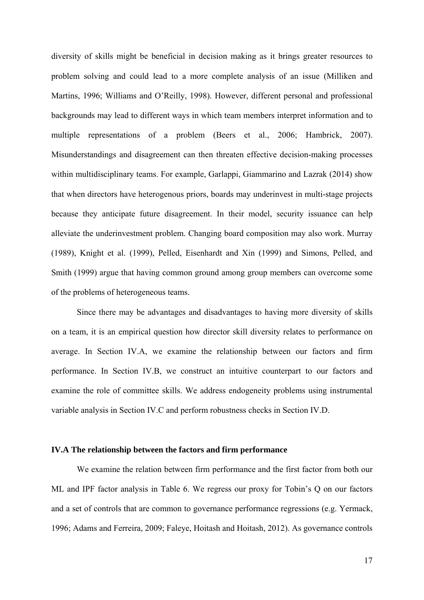diversity of skills might be beneficial in decision making as it brings greater resources to problem solving and could lead to a more complete analysis of an issue (Milliken and Martins, 1996; Williams and O'Reilly, 1998). However, different personal and professional backgrounds may lead to different ways in which team members interpret information and to multiple representations of a problem (Beers et al., 2006; Hambrick, 2007). Misunderstandings and disagreement can then threaten effective decision-making processes within multidisciplinary teams. For example, Garlappi, Giammarino and Lazrak (2014) show that when directors have heterogenous priors, boards may underinvest in multi-stage projects because they anticipate future disagreement. In their model, security issuance can help alleviate the underinvestment problem. Changing board composition may also work. Murray (1989), Knight et al. (1999), Pelled, Eisenhardt and Xin (1999) and Simons, Pelled, and Smith (1999) argue that having common ground among group members can overcome some of the problems of heterogeneous teams.

Since there may be advantages and disadvantages to having more diversity of skills on a team, it is an empirical question how director skill diversity relates to performance on average. In Section IV.A, we examine the relationship between our factors and firm performance. In Section IV.B, we construct an intuitive counterpart to our factors and examine the role of committee skills. We address endogeneity problems using instrumental variable analysis in Section IV.C and perform robustness checks in Section IV.D.

### **IV.A The relationship between the factors and firm performance**

We examine the relation between firm performance and the first factor from both our ML and IPF factor analysis in Table 6. We regress our proxy for Tobin's Q on our factors and a set of controls that are common to governance performance regressions (e.g. Yermack, 1996; Adams and Ferreira, 2009; Faleye, Hoitash and Hoitash, 2012). As governance controls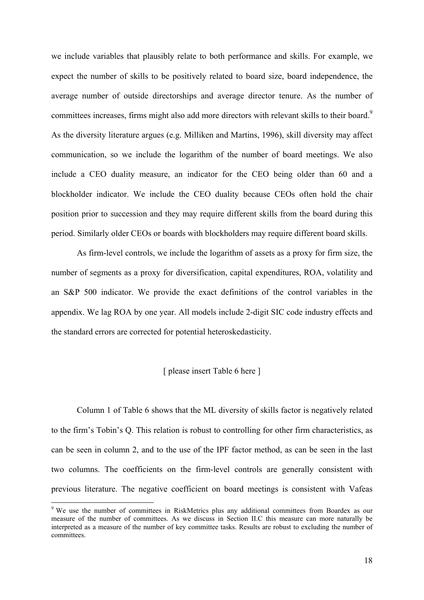we include variables that plausibly relate to both performance and skills. For example, we expect the number of skills to be positively related to board size, board independence, the average number of outside directorships and average director tenure. As the number of committees increases, firms might also add more directors with relevant skills to their board.<sup>9</sup> As the diversity literature argues (e.g. Milliken and Martins, 1996), skill diversity may affect communication, so we include the logarithm of the number of board meetings. We also include a CEO duality measure, an indicator for the CEO being older than 60 and a blockholder indicator. We include the CEO duality because CEOs often hold the chair position prior to succession and they may require different skills from the board during this period. Similarly older CEOs or boards with blockholders may require different board skills.

As firm-level controls, we include the logarithm of assets as a proxy for firm size, the number of segments as a proxy for diversification, capital expenditures, ROA, volatility and an S&P 500 indicator. We provide the exact definitions of the control variables in the appendix. We lag ROA by one year. All models include 2-digit SIC code industry effects and the standard errors are corrected for potential heteroskedasticity.

### [ please insert Table 6 here ]

Column 1 of Table 6 shows that the ML diversity of skills factor is negatively related to the firm's Tobin's Q. This relation is robust to controlling for other firm characteristics, as can be seen in column 2, and to the use of the IPF factor method, as can be seen in the last two columns. The coefficients on the firm-level controls are generally consistent with previous literature. The negative coefficient on board meetings is consistent with Vafeas

<sup>&</sup>lt;sup>9</sup> We use the number of committees in RiskMetrics plus any additional committees from Boardex as our measure of the number of committees. As we discuss in Section II.C this measure can more naturally be interpreted as a measure of the number of key committee tasks. Results are robust to excluding the number of committees.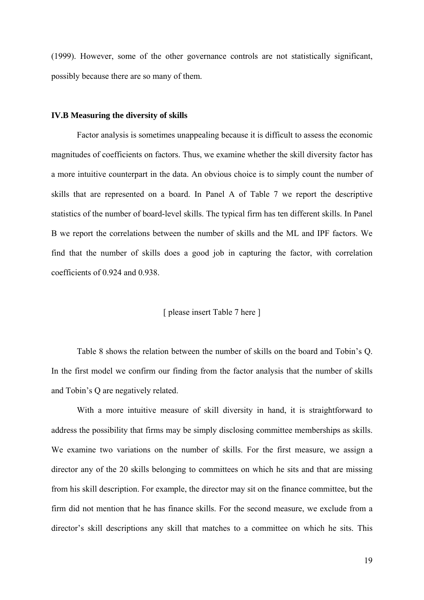(1999). However, some of the other governance controls are not statistically significant, possibly because there are so many of them.

### **IV.B Measuring the diversity of skills**

Factor analysis is sometimes unappealing because it is difficult to assess the economic magnitudes of coefficients on factors. Thus, we examine whether the skill diversity factor has a more intuitive counterpart in the data. An obvious choice is to simply count the number of skills that are represented on a board. In Panel A of Table 7 we report the descriptive statistics of the number of board-level skills. The typical firm has ten different skills. In Panel B we report the correlations between the number of skills and the ML and IPF factors. We find that the number of skills does a good job in capturing the factor, with correlation coefficients of 0.924 and 0.938.

### [ please insert Table 7 here ]

Table 8 shows the relation between the number of skills on the board and Tobin's Q. In the first model we confirm our finding from the factor analysis that the number of skills and Tobin's Q are negatively related.

With a more intuitive measure of skill diversity in hand, it is straightforward to address the possibility that firms may be simply disclosing committee memberships as skills. We examine two variations on the number of skills. For the first measure, we assign a director any of the 20 skills belonging to committees on which he sits and that are missing from his skill description. For example, the director may sit on the finance committee, but the firm did not mention that he has finance skills. For the second measure, we exclude from a director's skill descriptions any skill that matches to a committee on which he sits. This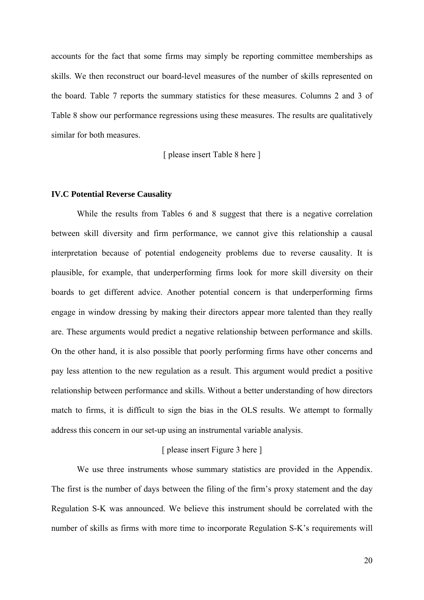accounts for the fact that some firms may simply be reporting committee memberships as skills. We then reconstruct our board-level measures of the number of skills represented on the board. Table 7 reports the summary statistics for these measures. Columns 2 and 3 of Table 8 show our performance regressions using these measures. The results are qualitatively similar for both measures.

[ please insert Table 8 here ]

### **IV.C Potential Reverse Causality**

While the results from Tables 6 and 8 suggest that there is a negative correlation between skill diversity and firm performance, we cannot give this relationship a causal interpretation because of potential endogeneity problems due to reverse causality. It is plausible, for example, that underperforming firms look for more skill diversity on their boards to get different advice. Another potential concern is that underperforming firms engage in window dressing by making their directors appear more talented than they really are. These arguments would predict a negative relationship between performance and skills. On the other hand, it is also possible that poorly performing firms have other concerns and pay less attention to the new regulation as a result. This argument would predict a positive relationship between performance and skills. Without a better understanding of how directors match to firms, it is difficult to sign the bias in the OLS results. We attempt to formally address this concern in our set-up using an instrumental variable analysis.

### [ please insert Figure 3 here ]

We use three instruments whose summary statistics are provided in the Appendix. The first is the number of days between the filing of the firm's proxy statement and the day Regulation S-K was announced. We believe this instrument should be correlated with the number of skills as firms with more time to incorporate Regulation S-K's requirements will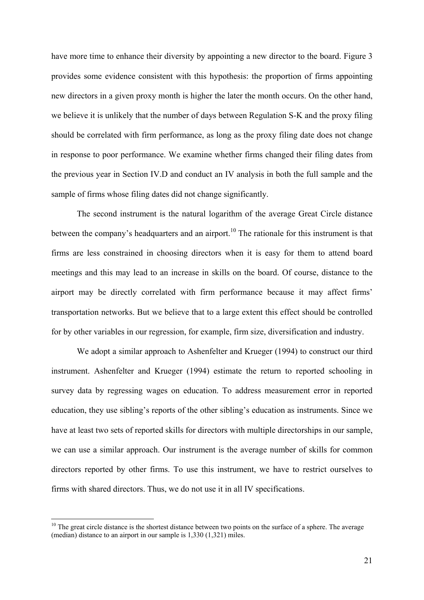have more time to enhance their diversity by appointing a new director to the board. Figure 3 provides some evidence consistent with this hypothesis: the proportion of firms appointing new directors in a given proxy month is higher the later the month occurs. On the other hand, we believe it is unlikely that the number of days between Regulation S-K and the proxy filing should be correlated with firm performance, as long as the proxy filing date does not change in response to poor performance. We examine whether firms changed their filing dates from the previous year in Section IV.D and conduct an IV analysis in both the full sample and the sample of firms whose filing dates did not change significantly.

The second instrument is the natural logarithm of the average Great Circle distance between the company's headquarters and an airport.<sup>10</sup> The rationale for this instrument is that firms are less constrained in choosing directors when it is easy for them to attend board meetings and this may lead to an increase in skills on the board. Of course, distance to the airport may be directly correlated with firm performance because it may affect firms' transportation networks. But we believe that to a large extent this effect should be controlled for by other variables in our regression, for example, firm size, diversification and industry.

We adopt a similar approach to Ashenfelter and Krueger (1994) to construct our third instrument. Ashenfelter and Krueger (1994) estimate the return to reported schooling in survey data by regressing wages on education. To address measurement error in reported education, they use sibling's reports of the other sibling's education as instruments. Since we have at least two sets of reported skills for directors with multiple directorships in our sample, we can use a similar approach. Our instrument is the average number of skills for common directors reported by other firms. To use this instrument, we have to restrict ourselves to firms with shared directors. Thus, we do not use it in all IV specifications.

 $10$  The great circle distance is the shortest distance between two points on the surface of a sphere. The average (median) distance to an airport in our sample is 1,330 (1,321) miles.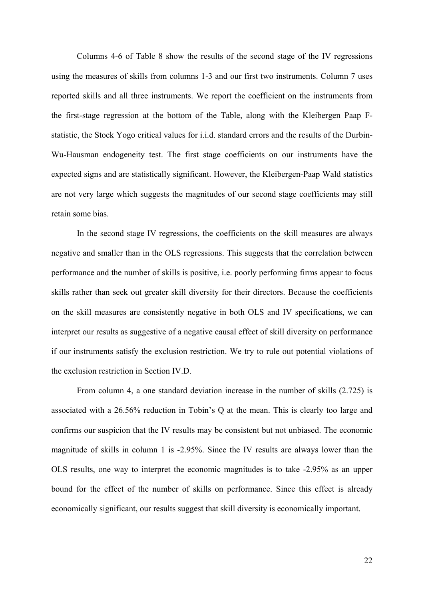Columns 4-6 of Table 8 show the results of the second stage of the IV regressions using the measures of skills from columns 1-3 and our first two instruments. Column 7 uses reported skills and all three instruments. We report the coefficient on the instruments from the first-stage regression at the bottom of the Table, along with the Kleibergen Paap Fstatistic, the Stock Yogo critical values for i.i.d. standard errors and the results of the Durbin-Wu-Hausman endogeneity test. The first stage coefficients on our instruments have the expected signs and are statistically significant. However, the Kleibergen-Paap Wald statistics are not very large which suggests the magnitudes of our second stage coefficients may still retain some bias.

In the second stage IV regressions, the coefficients on the skill measures are always negative and smaller than in the OLS regressions. This suggests that the correlation between performance and the number of skills is positive, i.e. poorly performing firms appear to focus skills rather than seek out greater skill diversity for their directors. Because the coefficients on the skill measures are consistently negative in both OLS and IV specifications, we can interpret our results as suggestive of a negative causal effect of skill diversity on performance if our instruments satisfy the exclusion restriction. We try to rule out potential violations of the exclusion restriction in Section IV.D.

From column 4, a one standard deviation increase in the number of skills (2.725) is associated with a 26.56% reduction in Tobin's Q at the mean. This is clearly too large and confirms our suspicion that the IV results may be consistent but not unbiased. The economic magnitude of skills in column 1 is -2.95%. Since the IV results are always lower than the OLS results, one way to interpret the economic magnitudes is to take -2.95% as an upper bound for the effect of the number of skills on performance. Since this effect is already economically significant, our results suggest that skill diversity is economically important.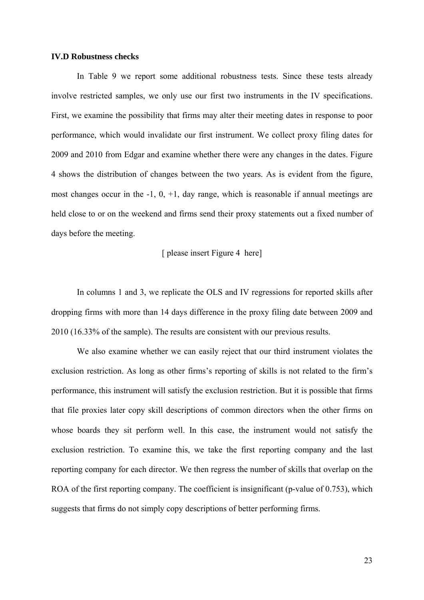### **IV.D Robustness checks**

In Table 9 we report some additional robustness tests. Since these tests already involve restricted samples, we only use our first two instruments in the IV specifications. First, we examine the possibility that firms may alter their meeting dates in response to poor performance, which would invalidate our first instrument. We collect proxy filing dates for 2009 and 2010 from Edgar and examine whether there were any changes in the dates. Figure 4 shows the distribution of changes between the two years. As is evident from the figure, most changes occur in the  $-1$ ,  $0$ ,  $+1$ , day range, which is reasonable if annual meetings are held close to or on the weekend and firms send their proxy statements out a fixed number of days before the meeting.

### [ please insert Figure 4 here]

In columns 1 and 3, we replicate the OLS and IV regressions for reported skills after dropping firms with more than 14 days difference in the proxy filing date between 2009 and 2010 (16.33% of the sample). The results are consistent with our previous results.

We also examine whether we can easily reject that our third instrument violates the exclusion restriction. As long as other firms's reporting of skills is not related to the firm's performance, this instrument will satisfy the exclusion restriction. But it is possible that firms that file proxies later copy skill descriptions of common directors when the other firms on whose boards they sit perform well. In this case, the instrument would not satisfy the exclusion restriction. To examine this, we take the first reporting company and the last reporting company for each director. We then regress the number of skills that overlap on the ROA of the first reporting company. The coefficient is insignificant (p-value of 0.753), which suggests that firms do not simply copy descriptions of better performing firms.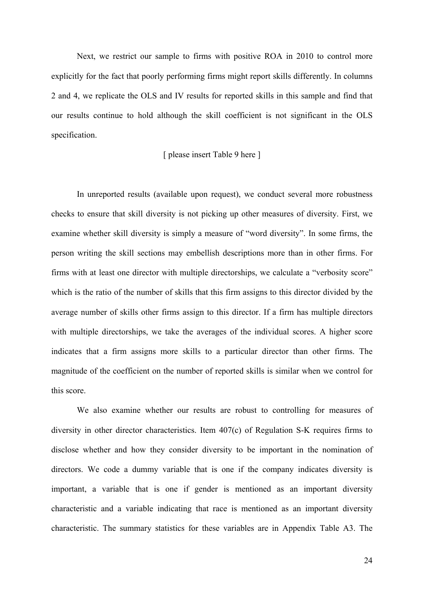Next, we restrict our sample to firms with positive ROA in 2010 to control more explicitly for the fact that poorly performing firms might report skills differently. In columns 2 and 4, we replicate the OLS and IV results for reported skills in this sample and find that our results continue to hold although the skill coefficient is not significant in the OLS specification.

### [ please insert Table 9 here ]

In unreported results (available upon request), we conduct several more robustness checks to ensure that skill diversity is not picking up other measures of diversity. First, we examine whether skill diversity is simply a measure of "word diversity". In some firms, the person writing the skill sections may embellish descriptions more than in other firms. For firms with at least one director with multiple directorships, we calculate a "verbosity score" which is the ratio of the number of skills that this firm assigns to this director divided by the average number of skills other firms assign to this director. If a firm has multiple directors with multiple directorships, we take the averages of the individual scores. A higher score indicates that a firm assigns more skills to a particular director than other firms. The magnitude of the coefficient on the number of reported skills is similar when we control for this score.

We also examine whether our results are robust to controlling for measures of diversity in other director characteristics. Item 407(c) of Regulation S-K requires firms to disclose whether and how they consider diversity to be important in the nomination of directors. We code a dummy variable that is one if the company indicates diversity is important, a variable that is one if gender is mentioned as an important diversity characteristic and a variable indicating that race is mentioned as an important diversity characteristic. The summary statistics for these variables are in Appendix Table A3. The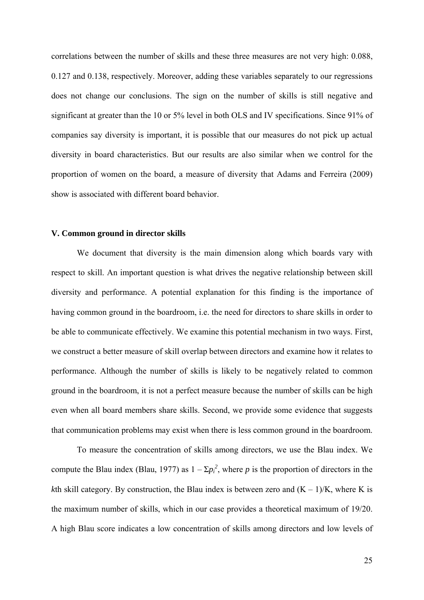correlations between the number of skills and these three measures are not very high: 0.088, 0.127 and 0.138, respectively. Moreover, adding these variables separately to our regressions does not change our conclusions. The sign on the number of skills is still negative and significant at greater than the 10 or 5% level in both OLS and IV specifications. Since 91% of companies say diversity is important, it is possible that our measures do not pick up actual diversity in board characteristics. But our results are also similar when we control for the proportion of women on the board, a measure of diversity that Adams and Ferreira (2009) show is associated with different board behavior.

### **V. Common ground in director skills**

We document that diversity is the main dimension along which boards vary with respect to skill. An important question is what drives the negative relationship between skill diversity and performance. A potential explanation for this finding is the importance of having common ground in the boardroom, i.e. the need for directors to share skills in order to be able to communicate effectively. We examine this potential mechanism in two ways. First, we construct a better measure of skill overlap between directors and examine how it relates to performance. Although the number of skills is likely to be negatively related to common ground in the boardroom, it is not a perfect measure because the number of skills can be high even when all board members share skills. Second, we provide some evidence that suggests that communication problems may exist when there is less common ground in the boardroom.

To measure the concentration of skills among directors, we use the Blau index. We compute the Blau index (Blau, 1977) as  $1 - \Sigma p_i^2$ , where *p* is the proportion of directors in the *k*th skill category. By construction, the Blau index is between zero and  $(K - 1)/K$ , where K is the maximum number of skills, which in our case provides a theoretical maximum of 19/20. A high Blau score indicates a low concentration of skills among directors and low levels of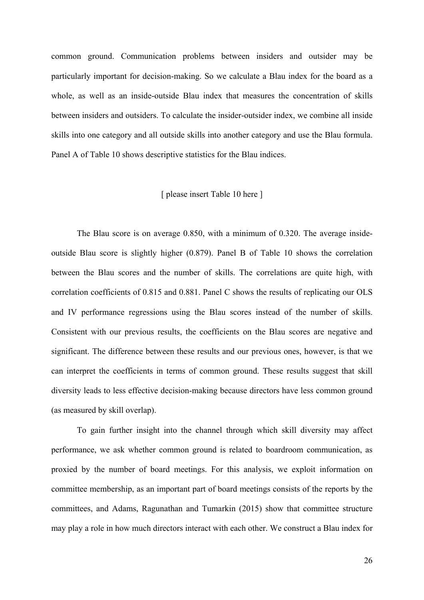common ground. Communication problems between insiders and outsider may be particularly important for decision-making. So we calculate a Blau index for the board as a whole, as well as an inside-outside Blau index that measures the concentration of skills between insiders and outsiders. To calculate the insider-outsider index, we combine all inside skills into one category and all outside skills into another category and use the Blau formula. Panel A of Table 10 shows descriptive statistics for the Blau indices.

### [ please insert Table 10 here ]

The Blau score is on average 0.850, with a minimum of 0.320. The average insideoutside Blau score is slightly higher (0.879). Panel B of Table 10 shows the correlation between the Blau scores and the number of skills. The correlations are quite high, with correlation coefficients of 0.815 and 0.881. Panel C shows the results of replicating our OLS and IV performance regressions using the Blau scores instead of the number of skills. Consistent with our previous results, the coefficients on the Blau scores are negative and significant. The difference between these results and our previous ones, however, is that we can interpret the coefficients in terms of common ground. These results suggest that skill diversity leads to less effective decision-making because directors have less common ground (as measured by skill overlap).

To gain further insight into the channel through which skill diversity may affect performance, we ask whether common ground is related to boardroom communication, as proxied by the number of board meetings. For this analysis, we exploit information on committee membership, as an important part of board meetings consists of the reports by the committees, and Adams, Ragunathan and Tumarkin (2015) show that committee structure may play a role in how much directors interact with each other. We construct a Blau index for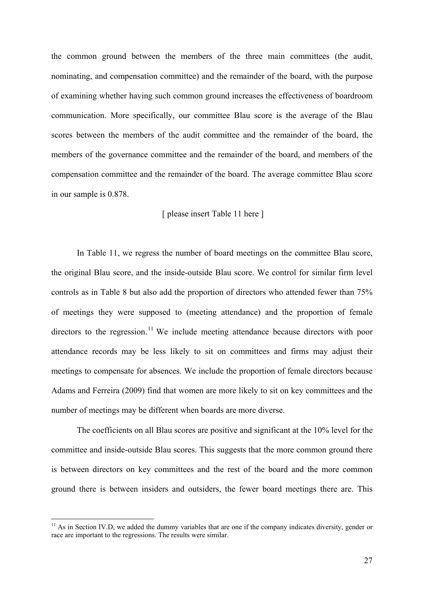the common ground between the members of the three main committees (the audit, nominating, and compensation committee) and the remainder of the board, with the purpose of examining whether having such common ground increases the effectiveness of boardroom communication. More specifically, our committee Blau score is the average of the Blau scores between the members of the audit committee and the remainder of the board, the members of the governance committee and the remainder of the board, and members of the compensation committee and the remainder of the board. The average committee Blau score in our sample is 0.878.

### [ please insert Table 11 here ]

In Table 11, we regress the number of board meetings on the committee Blau score, the original Blau score, and the inside-outside Blau score. We control for similar firm level controls as in Table 8 but also add the proportion of directors who attended fewer than 75% of meetings they were supposed to (meeting attendance) and the proportion of female directors to the regression.<sup>11</sup> We include meeting attendance because directors with poor attendance records may be less likely to sit on committees and firms may adjust their meetings to compensate for absences. We include the proportion of female directors because Adams and Ferreira (2009) find that women are more likely to sit on key committees and the number of meetings may be different when boards are more diverse.

The coefficients on all Blau scores are positive and significant at the 10% level for the committee and inside-outside Blau scores. This suggests that the more common ground there is between directors on key committees and the rest of the board and the more common ground there is between insiders and outsiders, the fewer board meetings there are. This

 $11$  As in Section IV.D, we added the dummy variables that are one if the company indicates diversity, gender or race are important to the regressions. The results were similar.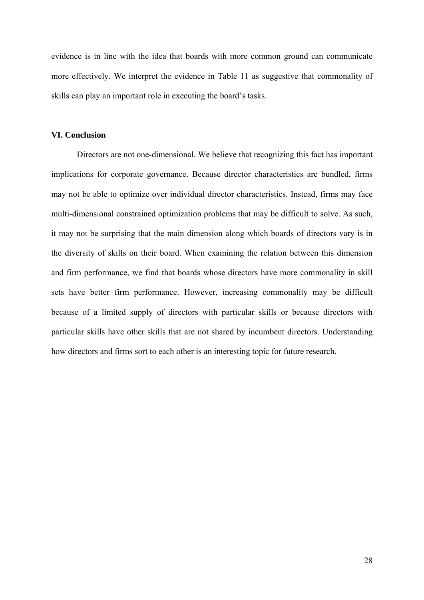evidence is in line with the idea that boards with more common ground can communicate more effectively. We interpret the evidence in Table 11 as suggestive that commonality of skills can play an important role in executing the board's tasks.

### **VI. Conclusion**

Directors are not one-dimensional. We believe that recognizing this fact has important implications for corporate governance. Because director characteristics are bundled, firms may not be able to optimize over individual director characteristics. Instead, firms may face multi-dimensional constrained optimization problems that may be difficult to solve. As such, it may not be surprising that the main dimension along which boards of directors vary is in the diversity of skills on their board. When examining the relation between this dimension and firm performance, we find that boards whose directors have more commonality in skill sets have better firm performance. However, increasing commonality may be difficult because of a limited supply of directors with particular skills or because directors with particular skills have other skills that are not shared by incumbent directors. Understanding how directors and firms sort to each other is an interesting topic for future research.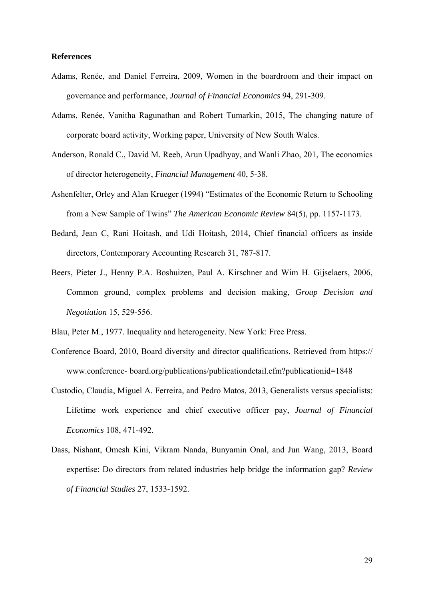### **References**

- Adams, Renée, and Daniel Ferreira, 2009, Women in the boardroom and their impact on governance and performance, *Journal of Financial Economics* 94, 291-309.
- Adams, Renée, Vanitha Ragunathan and Robert Tumarkin, 2015, The changing nature of corporate board activity, Working paper, University of New South Wales.
- Anderson, Ronald C., David M. Reeb, Arun Upadhyay, and Wanli Zhao, 201, The economics of director heterogeneity, *Financial Management* 40, 5-38.
- Ashenfelter, Orley and Alan Krueger (1994) "Estimates of the Economic Return to Schooling from a New Sample of Twins" *The American Economic Review* 84(5), pp. 1157-1173.
- Bedard, Jean C, Rani Hoitash, and Udi Hoitash, 2014, Chief financial officers as inside directors, Contemporary Accounting Research 31, 787-817.
- Beers, Pieter J., Henny P.A. Boshuizen, Paul A. Kirschner and Wim H. Gijselaers, 2006, Common ground, complex problems and decision making, *Group Decision and Negotiation* 15, 529-556.

Blau, Peter M., 1977. Inequality and heterogeneity. New York: Free Press.

- Conference Board, 2010, Board diversity and director qualifications, Retrieved from https:// www.conference- board.org/publications/publicationdetail.cfm?publicationid=1848
- Custodio, Claudia, Miguel A. Ferreira, and Pedro Matos, 2013, Generalists versus specialists: Lifetime work experience and chief executive officer pay, *Journal of Financial Economics* 108, 471-492.
- Dass, Nishant, Omesh Kini, Vikram Nanda, Bunyamin Onal, and Jun Wang, 2013, Board expertise: Do directors from related industries help bridge the information gap? *Review of Financial Studies* 27, 1533-1592.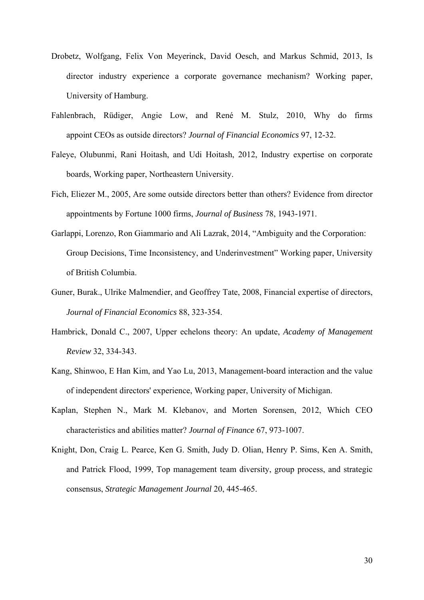- Drobetz, Wolfgang, Felix Von Meyerinck, David Oesch, and Markus Schmid, 2013, Is director industry experience a corporate governance mechanism? Working paper, University of Hamburg.
- Fahlenbrach, Rüdiger, Angie Low, and René M. Stulz, 2010, Why do firms appoint CEOs as outside directors? *Journal of Financial Economics* 97, 12-32.
- Faleye, Olubunmi, Rani Hoitash, and Udi Hoitash, 2012, Industry expertise on corporate boards, Working paper, Northeastern University.
- Fich, Eliezer M., 2005, Are some outside directors better than others? Evidence from director appointments by Fortune 1000 firms, *Journal of Business* 78, 1943-1971.
- Garlappi, Lorenzo, Ron Giammario and Ali Lazrak, 2014, "Ambiguity and the Corporation: Group Decisions, Time Inconsistency, and Underinvestment" Working paper, University of British Columbia.
- Guner, Burak., Ulrike Malmendier, and Geoffrey Tate, 2008, Financial expertise of directors, *Journal of Financial Economics* 88, 323-354.
- Hambrick, Donald C., 2007, Upper echelons theory: An update, *Academy of Management Review* 32, 334-343.
- Kang, Shinwoo, E Han Kim, and Yao Lu, 2013, Management-board interaction and the value of independent directors' experience, Working paper, University of Michigan.
- Kaplan, Stephen N., Mark M. Klebanov, and Morten Sorensen, 2012, Which CEO characteristics and abilities matter? *Journal of Finance* 67, 973-1007.
- Knight, Don, Craig L. Pearce, Ken G. Smith, Judy D. Olian, Henry P. Sims, Ken A. Smith, and Patrick Flood, 1999, Top management team diversity, group process, and strategic consensus, *Strategic Management Journal* 20, 445-465.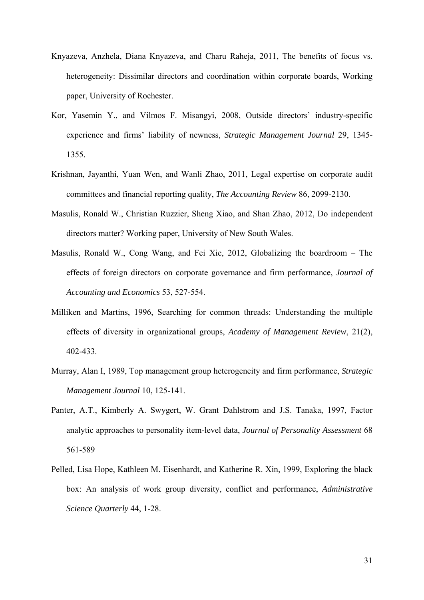- Knyazeva, Anzhela, Diana Knyazeva, and Charu Raheja, 2011, The benefits of focus vs. heterogeneity: Dissimilar directors and coordination within corporate boards, Working paper, University of Rochester.
- Kor, Yasemin Y., and Vilmos F. Misangyi, 2008, Outside directors' industry-specific experience and firms' liability of newness, *Strategic Management Journal* 29, 1345- 1355.
- Krishnan, Jayanthi, Yuan Wen, and Wanli Zhao, 2011, Legal expertise on corporate audit committees and financial reporting quality, *The Accounting Review* 86, 2099-2130.
- Masulis, Ronald W., Christian Ruzzier, Sheng Xiao, and Shan Zhao, 2012, Do independent directors matter? Working paper, University of New South Wales.
- Masulis, Ronald W., Cong Wang, and Fei Xie, 2012, Globalizing the boardroom The effects of foreign directors on corporate governance and firm performance, *Journal of Accounting and Economics* 53, 527-554.
- Milliken and Martins, 1996, Searching for common threads: Understanding the multiple effects of diversity in organizational groups, *Academy of Management Review*, 21(2), 402-433.
- Murray, Alan I, 1989, Top management group heterogeneity and firm performance, *Strategic Management Journal* 10, 125-141.
- Panter, A.T., Kimberly A. Swygert, W. Grant Dahlstrom and J.S. Tanaka, 1997, Factor analytic approaches to personality item-level data, *Journal of Personality Assessment* 68 561-589
- Pelled, Lisa Hope, Kathleen M. Eisenhardt, and Katherine R. Xin, 1999, Exploring the black box: An analysis of work group diversity, conflict and performance, *Administrative Science Quarterly* 44, 1-28.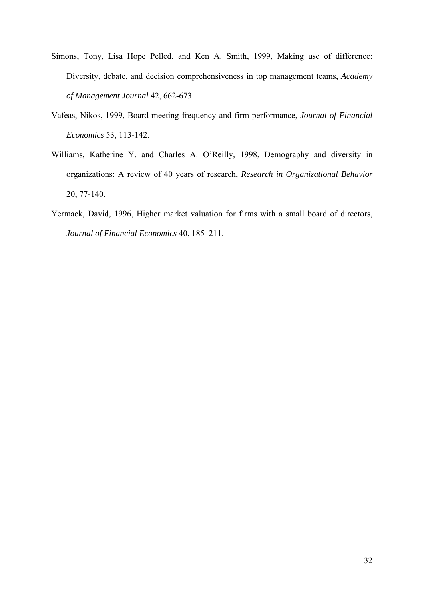- Simons, Tony, Lisa Hope Pelled, and Ken A. Smith, 1999, Making use of difference: Diversity, debate, and decision comprehensiveness in top management teams, *Academy of Management Journal* 42, 662-673.
- Vafeas, Nikos, 1999, Board meeting frequency and firm performance, *Journal of Financial Economics* 53, 113-142.
- Williams, Katherine Y. and Charles A. O'Reilly, 1998, Demography and diversity in organizations: A review of 40 years of research, *Research in Organizational Behavior* 20, 77-140.
- Yermack, David, 1996, Higher market valuation for firms with a small board of directors, *Journal of Financial Economics* 40, 185–211.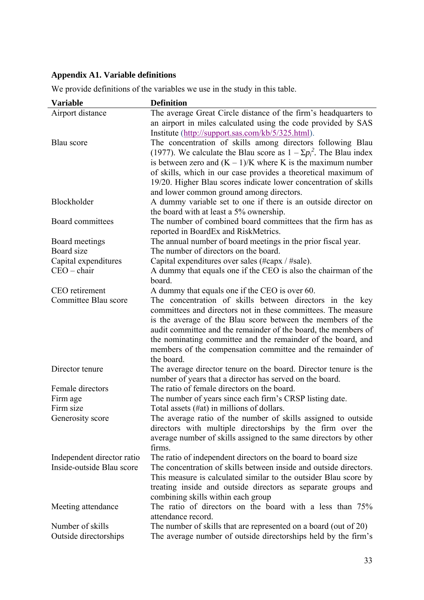# **Appendix A1. Variable definitions**

| <b>Variable</b>            | <b>Definition</b>                                                                                          |
|----------------------------|------------------------------------------------------------------------------------------------------------|
| Airport distance           | The average Great Circle distance of the firm's headquarters to                                            |
|                            | an airport in miles calculated using the code provided by SAS                                              |
|                            | Institute (http://support.sas.com/kb/5/325.html).                                                          |
| Blau score                 | The concentration of skills among directors following Blau                                                 |
|                            | (1977). We calculate the Blau score as $1 - \Sigma p_i^2$ . The Blau index                                 |
|                            | is between zero and $(K - 1)/K$ where K is the maximum number                                              |
|                            | of skills, which in our case provides a theoretical maximum of                                             |
|                            | 19/20. Higher Blau scores indicate lower concentration of skills                                           |
| Blockholder                | and lower common ground among directors.<br>A dummy variable set to one if there is an outside director on |
|                            | the board with at least a 5% ownership.                                                                    |
| Board committees           | The number of combined board committees that the firm has as                                               |
|                            | reported in BoardEx and RiskMetrics.                                                                       |
| Board meetings             | The annual number of board meetings in the prior fiscal year.                                              |
| Board size                 | The number of directors on the board.                                                                      |
| Capital expenditures       | Capital expenditures over sales (#capx / #sale).                                                           |
| $CEO - chair$              | A dummy that equals one if the CEO is also the chairman of the                                             |
|                            | board.                                                                                                     |
| CEO retirement             | A dummy that equals one if the CEO is over 60.                                                             |
| Committee Blau score       | The concentration of skills between directors in the key                                                   |
|                            | committees and directors not in these committees. The measure                                              |
|                            | is the average of the Blau score between the members of the                                                |
|                            | audit committee and the remainder of the board, the members of                                             |
|                            | the nominating committee and the remainder of the board, and                                               |
|                            | members of the compensation committee and the remainder of<br>the board.                                   |
| Director tenure            | The average director tenure on the board. Director tenure is the                                           |
|                            | number of years that a director has served on the board.                                                   |
| Female directors           | The ratio of female directors on the board.                                                                |
| Firm age                   | The number of years since each firm's CRSP listing date.                                                   |
| Firm size                  | Total assets (#at) in millions of dollars.                                                                 |
| Generosity score           | The average ratio of the number of skills assigned to outside                                              |
|                            | directors with multiple directorships by the firm over the                                                 |
|                            | average number of skills assigned to the same directors by other                                           |
|                            | firms.                                                                                                     |
| Independent director ratio | The ratio of independent directors on the board to board size                                              |
| Inside-outside Blau score  | The concentration of skills between inside and outside directors.                                          |
|                            | This measure is calculated similar to the outsider Blau score by                                           |
|                            | treating inside and outside directors as separate groups and                                               |
|                            | combining skills within each group                                                                         |
| Meeting attendance         | The ratio of directors on the board with a less than 75%<br>attendance record.                             |
| Number of skills           | The number of skills that are represented on a board (out of 20)                                           |
| Outside directorships      | The average number of outside directorships held by the firm's                                             |
|                            |                                                                                                            |

We provide definitions of the variables we use in the study in this table.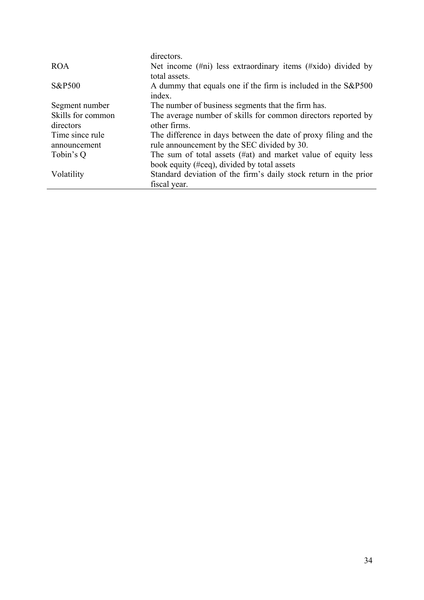|                   | directors.                                                         |
|-------------------|--------------------------------------------------------------------|
| <b>ROA</b>        | Net income $(\#ni)$ less extraordinary items $(\#xido)$ divided by |
|                   | total assets.                                                      |
| S&P500            | A dummy that equals one if the firm is included in the S&P500      |
|                   | index.                                                             |
| Segment number    | The number of business segments that the firm has.                 |
| Skills for common | The average number of skills for common directors reported by      |
| directors         | other firms.                                                       |
| Time since rule   | The difference in days between the date of proxy filing and the    |
| announcement      | rule announcement by the SEC divided by 30.                        |
| Tobin's Q         | The sum of total assets (#at) and market value of equity less      |
|                   | book equity (#ceq), divided by total assets                        |
| Volatility        | Standard deviation of the firm's daily stock return in the prior   |
|                   | fiscal year.                                                       |
|                   |                                                                    |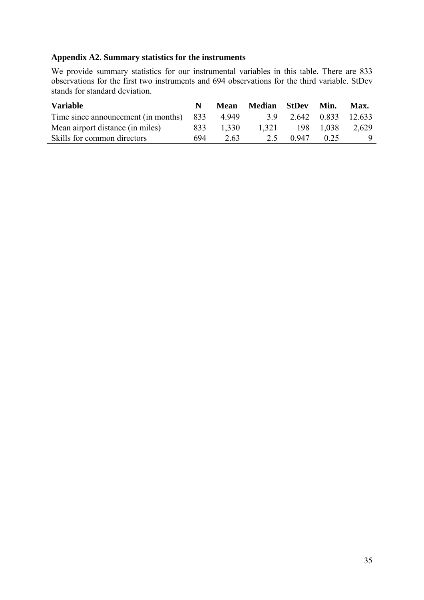# **Appendix A2. Summary statistics for the instruments**

We provide summary statistics for our instrumental variables in this table. There are 833 observations for the first two instruments and 694 observations for the third variable. StDev stands for standard deviation.

| <b>Variable</b>                     |     | Mean  | <b>Median</b> StDev |       | Min.  | Max.               |
|-------------------------------------|-----|-------|---------------------|-------|-------|--------------------|
| Time since announcement (in months) | 833 | 4949  | 39                  |       |       | 2.642 0.833 12.633 |
| Mean airport distance (in miles)    | 833 | 1.330 | 1.321               | 198   | 1.038 | 2.629              |
| Skills for common directors         | 694 | 2.63  | 2.5                 | 0.947 | 0.25  |                    |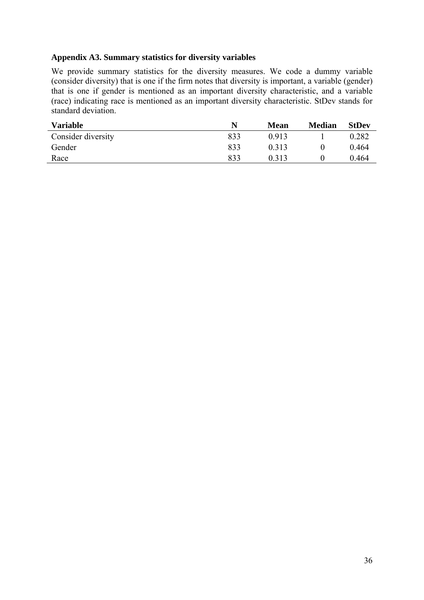### **Appendix A3. Summary statistics for diversity variables**

We provide summary statistics for the diversity measures. We code a dummy variable (consider diversity) that is one if the firm notes that diversity is important, a variable (gender) that is one if gender is mentioned as an important diversity characteristic, and a variable (race) indicating race is mentioned as an important diversity characteristic. StDev stands for standard deviation.

| <b>Variable</b>    | N   | Mean  | <b>Median</b> | <b>StDev</b> |
|--------------------|-----|-------|---------------|--------------|
| Consider diversity | 833 | 0.913 |               | 0.282        |
| Gender             | 833 | 0.313 |               | 0.464        |
| Race               | 833 | 0.313 |               | 0.464        |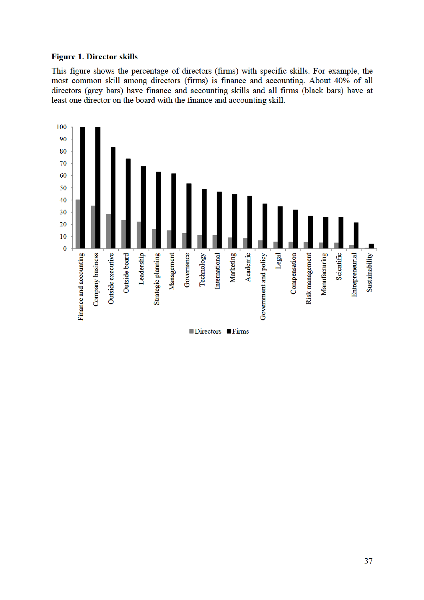### **Figure 1. Director skills**

This figure shows the percentage of directors (firms) with specific skills. For example, the most common skill among directors (firms) is finance and accounting. About 40% of all directors (grey bars) have finance and accounting skills and all firms (black bars) have at least one director on the board with the finance and accounting skill.

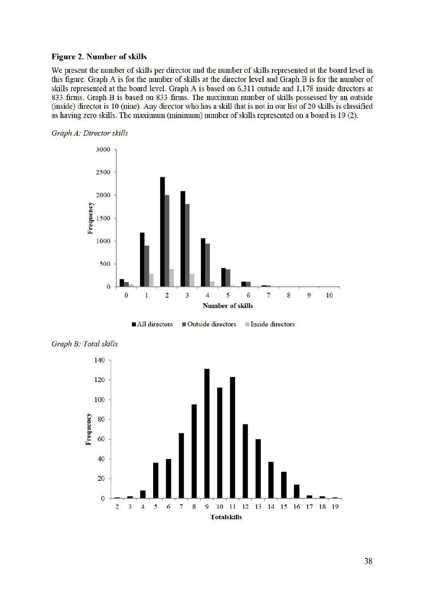### **Figure 2. Number of skills**

We present the number of skills per director and the number of skills represented at the board level in this figure. Graph A is for the number of skills at the director level and Graph B is for the number of skills represented at the board level. Graph A is based on 6,311 outside and 1,178 inside directors at 833 firms. Graph B is based on 833 firms. The maximum number of skills possessed by an outside (inside) director is 10 (nine). Any director who has a skill that is not in our list of 20 skills is classified as having zero skills. The maximum (minimum) number of skills represented on a board is 19 (2).





Inside directors All directors ■ Outside directors



Graph B: Total skills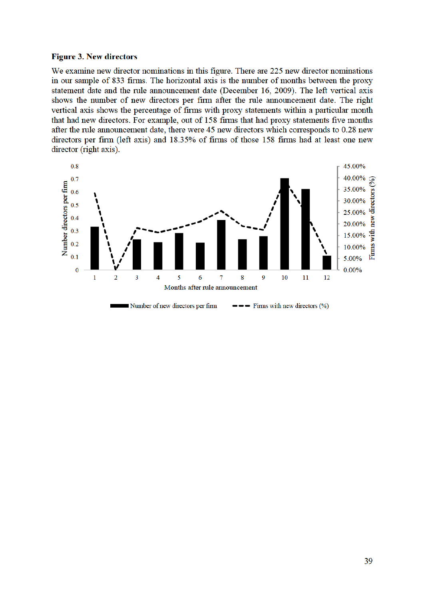#### **Figure 3. New directors**

We examine new director nominations in this figure. There are 225 new director nominations in our sample of 833 firms. The horizontal axis is the number of months between the proxy statement date and the rule announcement date (December 16, 2009). The left vertical axis shows the number of new directors per firm after the rule announcement date. The right vertical axis shows the percentage of firms with proxy statements within a particular month that had new directors. For example, out of 158 firms that had proxy statements five months after the rule announcement date, there were 45 new directors which corresponds to 0.28 new directors per firm (left axis) and 18.35% of firms of those 158 firms had at least one new director (right axis).

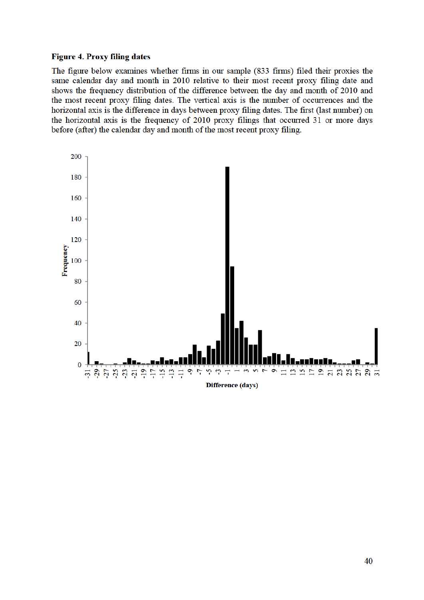### **Figure 4. Proxy filing dates**

The figure below examines whether firms in our sample (833 firms) filed their proxies the same calendar day and month in 2010 relative to their most recent proxy filing date and shows the frequency distribution of the difference between the day and month of 2010 and the most recent proxy filing dates. The vertical axis is the number of occurrences and the horizontal axis is the difference in days between proxy filing dates. The first (last number) on the horizontal axis is the frequency of 2010 proxy filings that occurred 31 or more days before (after) the calendar day and month of the most recent proxy filing.

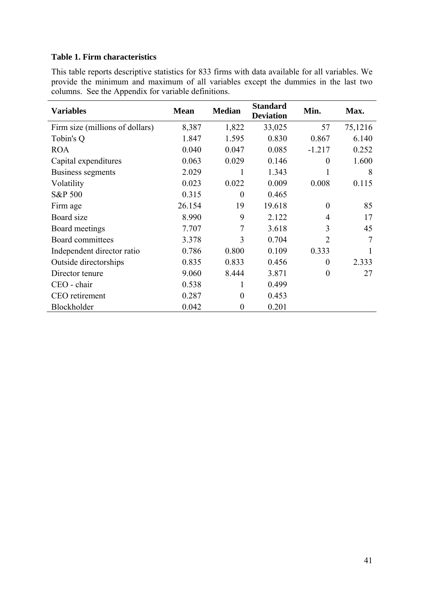# **Table 1. Firm characteristics**

This table reports descriptive statistics for 833 firms with data available for all variables. We provide the minimum and maximum of all variables except the dummies in the last two columns. See the Appendix for variable definitions.

| <b>Variables</b>                | <b>Mean</b> | <b>Median</b>    | <b>Standard</b><br><b>Deviation</b> | Min.           | Max.    |
|---------------------------------|-------------|------------------|-------------------------------------|----------------|---------|
| Firm size (millions of dollars) | 8,387       | 1,822            | 33,025                              | 57             | 75,1216 |
| Tobin's Q                       | 1.847       | 1.595            | 0.830                               | 0.867          | 6.140   |
| <b>ROA</b>                      | 0.040       | 0.047            | 0.085                               | $-1.217$       | 0.252   |
| Capital expenditures            | 0.063       | 0.029            | 0.146                               | $\theta$       | 1.600   |
| Business segments               | 2.029       | 1                | 1.343                               |                | 8       |
| Volatility                      | 0.023       | 0.022            | 0.009                               | 0.008          | 0.115   |
| S&P 500                         | 0.315       | $\boldsymbol{0}$ | 0.465                               |                |         |
| Firm age                        | 26.154      | 19               | 19.618                              | $\theta$       | 85      |
| Board size                      | 8.990       | 9                | 2.122                               | 4              | 17      |
| Board meetings                  | 7.707       | 7                | 3.618                               | 3              | 45      |
| Board committees                | 3.378       | 3                | 0.704                               | 2              | 7       |
| Independent director ratio      | 0.786       | 0.800            | 0.109                               | 0.333          |         |
| Outside directorships           | 0.835       | 0.833            | 0.456                               | $\theta$       | 2.333   |
| Director tenure                 | 9.060       | 8.444            | 3.871                               | $\overline{0}$ | 27      |
| CEO - chair                     | 0.538       | 1                | 0.499                               |                |         |
| CEO retirement                  | 0.287       | $\boldsymbol{0}$ | 0.453                               |                |         |
| Blockholder                     | 0.042       | $\boldsymbol{0}$ | 0.201                               |                |         |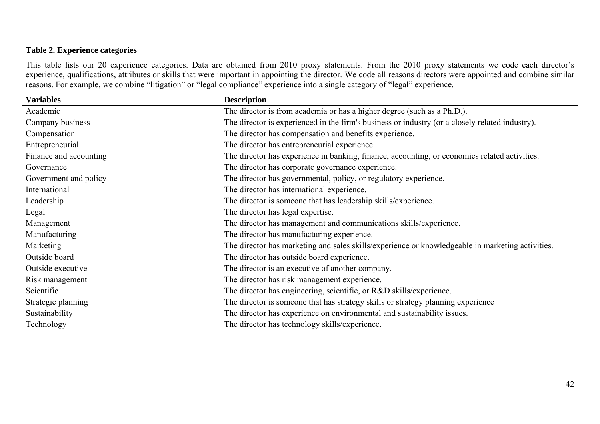# **Table 2. Experience categories**

This table lists our 20 experience categories. Data are obtained from 2010 proxy statements. From the 2010 proxy statements we code each director's experience, qualifications, attributes or skills that were important in appointing the director. We code all reasons directors were appointed and combine similar reasons. For example, we combine "litigation" or "legal compliance" experience into a single category of "legal" experience.

| <b>Variables</b>       | <b>Description</b>                                                                               |
|------------------------|--------------------------------------------------------------------------------------------------|
| Academic               | The director is from academia or has a higher degree (such as a Ph.D.).                          |
| Company business       | The director is experienced in the firm's business or industry (or a closely related industry).  |
| Compensation           | The director has compensation and benefits experience.                                           |
| Entrepreneurial        | The director has entrepreneurial experience.                                                     |
| Finance and accounting | The director has experience in banking, finance, accounting, or economics related activities.    |
| Governance             | The director has corporate governance experience.                                                |
| Government and policy  | The director has governmental, policy, or regulatory experience.                                 |
| International          | The director has international experience.                                                       |
| Leadership             | The director is someone that has leadership skills/experience.                                   |
| Legal                  | The director has legal expertise.                                                                |
| Management             | The director has management and communications skills/experience.                                |
| Manufacturing          | The director has manufacturing experience.                                                       |
| Marketing              | The director has marketing and sales skills/experience or knowledgeable in marketing activities. |
| Outside board          | The director has outside board experience.                                                       |
| Outside executive      | The director is an executive of another company.                                                 |
| Risk management        | The director has risk management experience.                                                     |
| Scientific             | The director has engineering, scientific, or R&D skills/experience.                              |
| Strategic planning     | The director is someone that has strategy skills or strategy planning experience                 |
| Sustainability         | The director has experience on environmental and sustainability issues.                          |
| Technology             | The director has technology skills/experience.                                                   |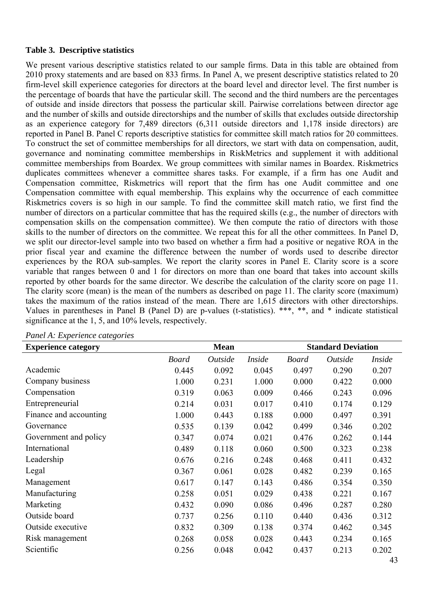### **Table 3. Descriptive statistics**

We present various descriptive statistics related to our sample firms. Data in this table are obtained from 2010 proxy statements and are based on 833 firms. In Panel A, we present descriptive statistics related to 20 firm-level skill experience categories for directors at the board level and director level. The first number is the percentage of boards that have the particular skill. The second and the third numbers are the percentages of outside and inside directors that possess the particular skill. Pairwise correlations between director age and the number of skills and outside directorships and the number of skills that excludes outside directorship as an experience category for 7,489 directors (6,311 outside directors and 1,178 inside directors) are reported in Panel B. Panel C reports descriptive statistics for committee skill match ratios for 20 committees. To construct the set of committee memberships for all directors, we start with data on compensation, audit, governance and nominating committee memberships in RiskMetrics and supplement it with additional committee memberships from Boardex. We group committees with similar names in Boardex. Riskmetrics duplicates committees whenever a committee shares tasks. For example, if a firm has one Audit and Compensation committee, Riskmetrics will report that the firm has one Audit committee and one Compensation committee with equal membership. This explains why the occurrence of each committee Riskmetrics covers is so high in our sample. To find the committee skill match ratio, we first find the number of directors on a particular committee that has the required skills (e.g., the number of directors with compensation skills on the compensation committee). We then compute the ratio of directors with those skills to the number of directors on the committee. We repeat this for all the other committees. In Panel D, we split our director-level sample into two based on whether a firm had a positive or negative ROA in the prior fiscal year and examine the difference between the number of words used to describe director experiences by the ROA sub-samples. We report the clarity scores in Panel E. Clarity score is a score variable that ranges between 0 and 1 for directors on more than one board that takes into account skills reported by other boards for the same director. We describe the calculation of the clarity score on page 11. The clarity score (mean) is the mean of the numbers as described on page 11. The clarity score (maximum) takes the maximum of the ratios instead of the mean. There are 1,615 directors with other directorships. Values in parentheses in Panel B (Panel D) are p-values (t-statistics). \*\*\*, \*\*, and \* indicate statistical significance at the 1, 5, and 10% levels, respectively.

| <b>Experience category</b> |              | <b>Mean</b> |               | <b>Standard Deviation</b> |         |               |
|----------------------------|--------------|-------------|---------------|---------------------------|---------|---------------|
|                            | <b>Board</b> | Outside     | <i>Inside</i> | <b>Board</b>              | Outside | <i>Inside</i> |
| Academic                   | 0.445        | 0.092       | 0.045         | 0.497                     | 0.290   | 0.207         |
| Company business           | 1.000        | 0.231       | 1.000         | 0.000                     | 0.422   | 0.000         |
| Compensation               | 0.319        | 0.063       | 0.009         | 0.466                     | 0.243   | 0.096         |
| Entrepreneurial            | 0.214        | 0.031       | 0.017         | 0.410                     | 0.174   | 0.129         |
| Finance and accounting     | 1.000        | 0.443       | 0.188         | 0.000                     | 0.497   | 0.391         |
| Governance                 | 0.535        | 0.139       | 0.042         | 0.499                     | 0.346   | 0.202         |
| Government and policy      | 0.347        | 0.074       | 0.021         | 0.476                     | 0.262   | 0.144         |
| International              | 0.489        | 0.118       | 0.060         | 0.500                     | 0.323   | 0.238         |
| Leadership                 | 0.676        | 0.216       | 0.248         | 0.468                     | 0.411   | 0.432         |
| Legal                      | 0.367        | 0.061       | 0.028         | 0.482                     | 0.239   | 0.165         |
| Management                 | 0.617        | 0.147       | 0.143         | 0.486                     | 0.354   | 0.350         |
| Manufacturing              | 0.258        | 0.051       | 0.029         | 0.438                     | 0.221   | 0.167         |
| Marketing                  | 0.432        | 0.090       | 0.086         | 0.496                     | 0.287   | 0.280         |
| Outside board              | 0.737        | 0.256       | 0.110         | 0.440                     | 0.436   | 0.312         |
| Outside executive          | 0.832        | 0.309       | 0.138         | 0.374                     | 0.462   | 0.345         |
| Risk management            | 0.268        | 0.058       | 0.028         | 0.443                     | 0.234   | 0.165         |
| Scientific                 | 0.256        | 0.048       | 0.042         | 0.437                     | 0.213   | 0.202         |

*Panel A: Experience categories*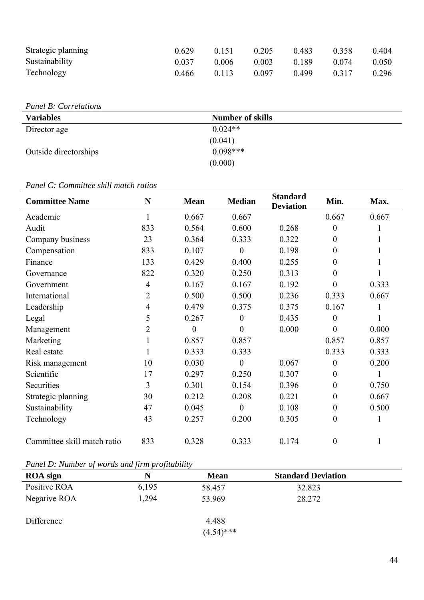| Strategic planning | 0.629 | 0.151 | 0.205 | 0.483 | 0.358 | 0.404 |
|--------------------|-------|-------|-------|-------|-------|-------|
| Sustainability     | 0.037 | 0.006 | 0.003 | 0.189 | 0.074 | 0.050 |
| Technology         | 0.466 | 0.113 | 0.097 | 0.499 | 0.317 | 0.296 |

*Panel B: Correlations* 

| <b>Variables</b>      | <b>Number of skills</b> |  |
|-----------------------|-------------------------|--|
| Director age          | $0.024**$               |  |
|                       | (0.041)                 |  |
| Outside directorships | $0.098***$              |  |
|                       | (0.000)                 |  |

# *Panel C: Committee skill match ratios*

| <b>Committee Name</b>       | N              | <b>Mean</b>    | <b>Median</b>    | <b>Standard</b><br><b>Deviation</b> | Min.             | Max.         |
|-----------------------------|----------------|----------------|------------------|-------------------------------------|------------------|--------------|
| Academic                    | $\mathbf{1}$   | 0.667          | 0.667            |                                     | 0.667            | 0.667        |
| Audit                       | 833            | 0.564          | 0.600            | 0.268                               | $\boldsymbol{0}$ | $\mathbf{1}$ |
| Company business            | 23             | 0.364          | 0.333            | 0.322                               | $\boldsymbol{0}$ | 1            |
| Compensation                | 833            | 0.107          | $\overline{0}$   | 0.198                               | $\overline{0}$   |              |
| Finance                     | 133            | 0.429          | 0.400            | 0.255                               | $\overline{0}$   | 1            |
| Governance                  | 822            | 0.320          | 0.250            | 0.313                               | $\overline{0}$   |              |
| Government                  | 4              | 0.167          | 0.167            | 0.192                               | $\overline{0}$   | 0.333        |
| International               | 2              | 0.500          | 0.500            | 0.236                               | 0.333            | 0.667        |
| Leadership                  | $\overline{4}$ | 0.479          | 0.375            | 0.375                               | 0.167            | 1            |
| Legal                       | 5              | 0.267          | $\boldsymbol{0}$ | 0.435                               | $\overline{0}$   | 1            |
| Management                  | 2              | $\overline{0}$ | $\overline{0}$   | 0.000                               | $\boldsymbol{0}$ | 0.000        |
| Marketing                   |                | 0.857          | 0.857            |                                     | 0.857            | 0.857        |
| Real estate                 | 1              | 0.333          | 0.333            |                                     | 0.333            | 0.333        |
| Risk management             | 10             | 0.030          | $\boldsymbol{0}$ | 0.067                               | $\boldsymbol{0}$ | 0.200        |
| Scientific                  | 17             | 0.297          | 0.250            | 0.307                               | $\boldsymbol{0}$ | 1            |
| Securities                  | 3              | 0.301          | 0.154            | 0.396                               | $\boldsymbol{0}$ | 0.750        |
| Strategic planning          | 30             | 0.212          | 0.208            | 0.221                               | $\overline{0}$   | 0.667        |
| Sustainability              | 47             | 0.045          | $\overline{0}$   | 0.108                               | $\boldsymbol{0}$ | 0.500        |
| Technology                  | 43             | 0.257          | 0.200            | 0.305                               | $\boldsymbol{0}$ | 1            |
| Committee skill match ratio | 833            | 0.328          | 0.333            | 0.174                               | $\boldsymbol{0}$ | $\mathbf{1}$ |

*Panel D: Number of words and firm profitability* 

| <b>ROA</b> sign | N     | <b>Mean</b>  | <b>Standard Deviation</b> |
|-----------------|-------|--------------|---------------------------|
| Positive ROA    | 6,195 | 58.457       | 32.823                    |
| Negative ROA    | 1,294 | 53.969       | 28.272                    |
| Difference      |       | 4.488        |                           |
|                 |       | $(4.54)$ *** |                           |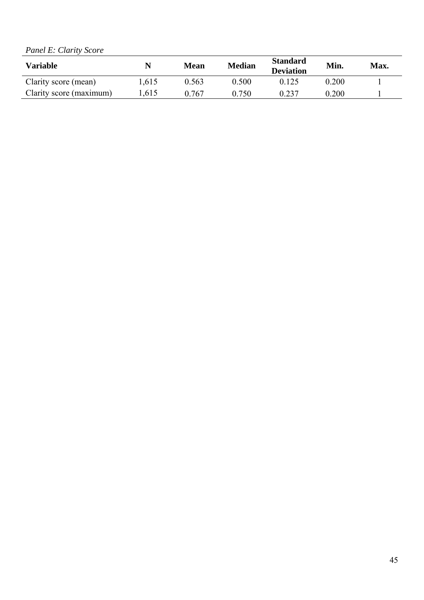*Panel E: Clarity Score* 

| <b>Variable</b>         | N    | <b>Mean</b> | <b>Median</b> | <b>Standard</b><br><b>Deviation</b> | Min.  | <b>Max.</b> |
|-------------------------|------|-------------|---------------|-------------------------------------|-------|-------------|
| Clarity score (mean)    | .615 | 0.563       | 0.500         |                                     | 0.200 |             |
| Clarity score (maximum) | .615 | 0.767       | 0.750         |                                     | 0.200 |             |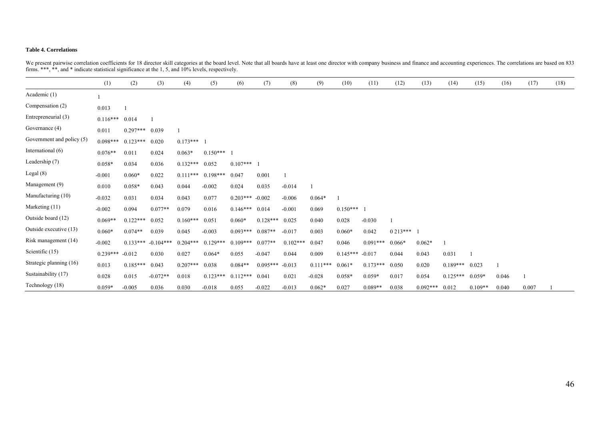#### **Table 4. Correlations**

|                           | (1)        | (2)        | (3)         | (4)        | (5)          | (6)               | (7)        | (8)        | (9)        | (10)              | (11)       | (12)       | (13)       | (14)       | (15)      | (16)  | (17)  | (18) |
|---------------------------|------------|------------|-------------|------------|--------------|-------------------|------------|------------|------------|-------------------|------------|------------|------------|------------|-----------|-------|-------|------|
| Academic (1)              |            |            |             |            |              |                   |            |            |            |                   |            |            |            |            |           |       |       |      |
| Compensation (2)          | 0.013      |            |             |            |              |                   |            |            |            |                   |            |            |            |            |           |       |       |      |
| Entrepreneurial (3)       | $0.116***$ | 0.014      |             |            |              |                   |            |            |            |                   |            |            |            |            |           |       |       |      |
| Governance (4)            | 0.011      | $0.297***$ | 0.039       |            |              |                   |            |            |            |                   |            |            |            |            |           |       |       |      |
| Government and policy (5) | $0.098***$ | $0.123***$ | 0.020       | $0.173***$ |              |                   |            |            |            |                   |            |            |            |            |           |       |       |      |
| International (6)         | $0.076**$  | 0.011      | 0.024       | $0.063*$   | $0.150***$ 1 |                   |            |            |            |                   |            |            |            |            |           |       |       |      |
| Leadership (7)            | $0.058*$   | 0.034      | 0.036       | $0.132***$ | 0.052        | $0.107***$        |            |            |            |                   |            |            |            |            |           |       |       |      |
| Legal $(8)$               | $-0.001$   | $0.060*$   | 0.022       | $0.111***$ | $0.198***$   | 0.047             | 0.001      |            |            |                   |            |            |            |            |           |       |       |      |
| Management (9)            | 0.010      | $0.058*$   | 0.043       | 0.044      | $-0.002$     | 0.024             | 0.035      | $-0.014$   |            |                   |            |            |            |            |           |       |       |      |
| Manufacturing (10)        | $-0.032$   | 0.031      | 0.034       | 0.043      | 0.077        | $0.203*** -0.002$ |            | $-0.006$   | $0.064*$   |                   |            |            |            |            |           |       |       |      |
| Marketing (11)            | $-0.002$   | 0.094      | $0.077**$   | 0.079      | 0.016        | $0.146***$ 0.014  |            | $-0.001$   | 0.069      | $0.150***$        |            |            |            |            |           |       |       |      |
| Outside board (12)        | $0.069**$  | $0.122***$ | 0.052       | $0.160***$ | 0.051        | $0.060*$          | $0.128***$ | 0.025      | 0.040      | 0.028             | $-0.030$   |            |            |            |           |       |       |      |
| Outside executive (13)    | $0.060*$   | $0.074**$  | 0.039       | 0.045      | $-0.003$     | $0.093***$        | $0.087**$  | $-0.017$   | 0.003      | $0.060*$          | 0.042      | $0.213***$ |            |            |           |       |       |      |
| Risk management (14)      | $-0.002$   | $0.133***$ | $-0.104***$ | $0.204***$ | $0.129***$   | $0.109***$        | $0.077**$  | $0.102***$ | 0.047      | 0.046             | $0.091***$ | $0.066*$   | $0.062*$   |            |           |       |       |      |
| Scientific (15)           | $0.239***$ | $-0.012$   | 0.030       | 0.027      | $0.064*$     | 0.055             | $-0.047$   | 0.044      | 0.009      | $0.145***$ -0.017 |            | 0.044      | 0.043      | 0.031      |           |       |       |      |
| Strategic planning (16)   | 0.013      | $0.185***$ | 0.043       | $0.207***$ | 0.038        | $0.084**$         | $0.095***$ | $-0.013$   | $0.111***$ | $0.061*$          | $0.173***$ | 0.050      | 0.020      | $0.189***$ | 0.023     |       |       |      |
| Sustainability (17)       | 0.028      | 0.015      | $-0.072**$  | 0.018      | $0.123***$   | $0.112***$        | 0.041      | 0.021      | $-0.028$   | $0.058*$          | $0.059*$   | 0.017      | 0.054      | $0.125***$ | $0.059*$  | 0.046 |       |      |
| Technology (18)           | $0.059*$   | $-0.005$   | 0.036       | 0.030      | $-0.018$     | 0.055             | $-0.022$   | $-0.013$   | $0.062*$   | 0.027             | $0.089**$  | 0.038      | $0.092***$ | 0.012      | $0.109**$ | 0.040 | 0.007 |      |

We present pairwise correlation coefficients for 18 director skill categories at the board level. Note that all boards have at least one director with company business and finance and accounting experiences. The correlatio firms. \*\*\*, \*\*, and \* indicate statistical significance at the 1, 5, and 10% levels, respectively.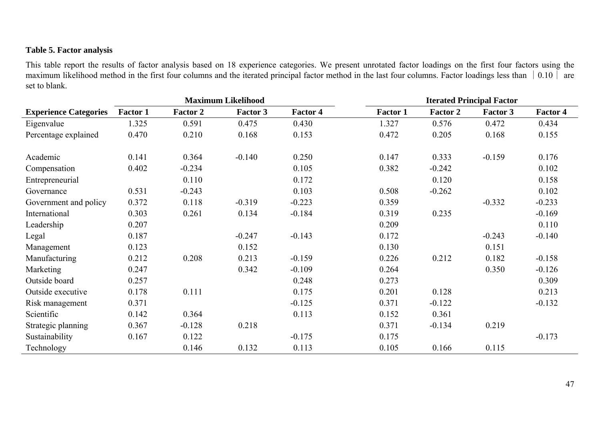# **Table 5. Factor analysis**

This table report the results of factor analysis based on 18 experience categories. We present unrotated factor loadings on the first four factors using the maximum likelihood method in the first four columns and the iterated principal factor method in the last four columns. Factor loadings less than  $\begin{pmatrix} 0.10 \end{pmatrix}$  are set to blank.

|                              | <b>Maximum Likelihood</b> |                 |                 |                 | <b>Iterated Principal Factor</b> |                 |          |                 |  |  |
|------------------------------|---------------------------|-----------------|-----------------|-----------------|----------------------------------|-----------------|----------|-----------------|--|--|
| <b>Experience Categories</b> | <b>Factor 1</b>           | <b>Factor 2</b> | <b>Factor 3</b> | <b>Factor 4</b> | <b>Factor 1</b>                  | <b>Factor 2</b> | Factor 3 | <b>Factor 4</b> |  |  |
| Eigenvalue                   | 1.325                     | 0.591           | 0.475           | 0.430           | 1.327                            | 0.576           | 0.472    | 0.434           |  |  |
| Percentage explained         | 0.470                     | 0.210           | 0.168           | 0.153           | 0.472                            | 0.205           | 0.168    | 0.155           |  |  |
| Academic                     | 0.141                     | 0.364           | $-0.140$        | 0.250           | 0.147                            | 0.333           | $-0.159$ | 0.176           |  |  |
| Compensation                 | 0.402                     | $-0.234$        |                 | 0.105           | 0.382                            | $-0.242$        |          | 0.102           |  |  |
| Entrepreneurial              |                           | 0.110           |                 | 0.172           |                                  | 0.120           |          | 0.158           |  |  |
| Governance                   | 0.531                     | $-0.243$        |                 | 0.103           | 0.508                            | $-0.262$        |          | 0.102           |  |  |
| Government and policy        | 0.372                     | 0.118           | $-0.319$        | $-0.223$        | 0.359                            |                 | $-0.332$ | $-0.233$        |  |  |
| International                | 0.303                     | 0.261           | 0.134           | $-0.184$        | 0.319                            | 0.235           |          | $-0.169$        |  |  |
| Leadership                   | 0.207                     |                 |                 |                 | 0.209                            |                 |          | 0.110           |  |  |
| Legal                        | 0.187                     |                 | $-0.247$        | $-0.143$        | 0.172                            |                 | $-0.243$ | $-0.140$        |  |  |
| Management                   | 0.123                     |                 | 0.152           |                 | 0.130                            |                 | 0.151    |                 |  |  |
| Manufacturing                | 0.212                     | 0.208           | 0.213           | $-0.159$        | 0.226                            | 0.212           | 0.182    | $-0.158$        |  |  |
| Marketing                    | 0.247                     |                 | 0.342           | $-0.109$        | 0.264                            |                 | 0.350    | $-0.126$        |  |  |
| Outside board                | 0.257                     |                 |                 | 0.248           | 0.273                            |                 |          | 0.309           |  |  |
| Outside executive            | 0.178                     | 0.111           |                 | 0.175           | 0.201                            | 0.128           |          | 0.213           |  |  |
| Risk management              | 0.371                     |                 |                 | $-0.125$        | 0.371                            | $-0.122$        |          | $-0.132$        |  |  |
| Scientific                   | 0.142                     | 0.364           |                 | 0.113           | 0.152                            | 0.361           |          |                 |  |  |
| Strategic planning           | 0.367                     | $-0.128$        | 0.218           |                 | 0.371                            | $-0.134$        | 0.219    |                 |  |  |
| Sustainability               | 0.167                     | 0.122           |                 | $-0.175$        | 0.175                            |                 |          | $-0.173$        |  |  |
| Technology                   |                           | 0.146           | 0.132           | 0.113           | 0.105                            | 0.166           | 0.115    |                 |  |  |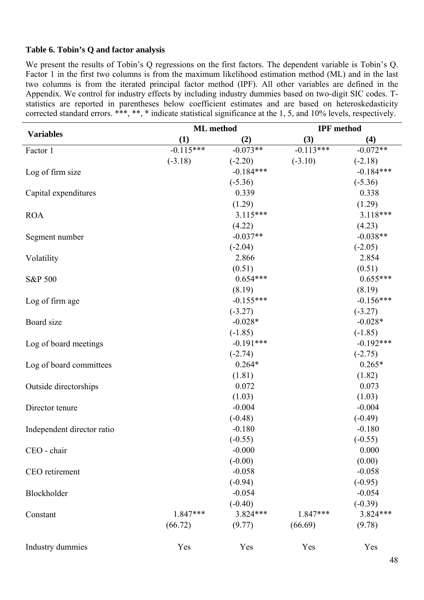# **Table 6. Tobin's Q and factor analysis**

We present the results of Tobin's Q regressions on the first factors. The dependent variable is Tobin's Q. Factor 1 in the first two columns is from the maximum likelihood estimation method (ML) and in the last two columns is from the iterated principal factor method (IPF). All other variables are defined in the Appendix. We control for industry effects by including industry dummies based on two-digit SIC codes. Tstatistics are reported in parentheses below coefficient estimates and are based on heteroskedasticity corrected standard errors. \*\*\*, \*\*, \* indicate statistical significance at the 1, 5, and 10% levels, respectively.

|                            | <b>ML</b> method |             | <b>IPF</b> method |             |
|----------------------------|------------------|-------------|-------------------|-------------|
| <b>Variables</b>           | (1)              | (2)         | (3)               | (4)         |
| Factor 1                   | $-0.115***$      | $-0.073**$  | $-0.113***$       | $-0.072**$  |
|                            | $(-3.18)$        | $(-2.20)$   | $(-3.10)$         | $(-2.18)$   |
| Log of firm size           |                  | $-0.184***$ |                   | $-0.184***$ |
|                            |                  | $(-5.36)$   |                   | $(-5.36)$   |
| Capital expenditures       |                  | 0.339       |                   | 0.338       |
|                            |                  | (1.29)      |                   | (1.29)      |
| <b>ROA</b>                 |                  | 3.115***    |                   | 3.118***    |
|                            |                  | (4.22)      |                   | (4.23)      |
| Segment number             |                  | $-0.037**$  |                   | $-0.038**$  |
|                            |                  | $(-2.04)$   |                   | $(-2.05)$   |
| Volatility                 |                  | 2.866       |                   | 2.854       |
|                            |                  | (0.51)      |                   | (0.51)      |
| S&P 500                    |                  | $0.654***$  |                   | $0.655***$  |
|                            |                  | (8.19)      |                   | (8.19)      |
| Log of firm age            |                  | $-0.155***$ |                   | $-0.156***$ |
|                            |                  | $(-3.27)$   |                   | $(-3.27)$   |
| Board size                 |                  | $-0.028*$   |                   | $-0.028*$   |
|                            |                  | $(-1.85)$   |                   | $(-1.85)$   |
| Log of board meetings      |                  | $-0.191***$ |                   | $-0.192***$ |
|                            |                  | $(-2.74)$   |                   | $(-2.75)$   |
| Log of board committees    |                  | $0.264*$    |                   | $0.265*$    |
|                            |                  | (1.81)      |                   | (1.82)      |
| Outside directorships      |                  | 0.072       |                   | 0.073       |
|                            |                  | (1.03)      |                   | (1.03)      |
| Director tenure            |                  | $-0.004$    |                   | $-0.004$    |
|                            |                  | $(-0.48)$   |                   | $(-0.49)$   |
| Independent director ratio |                  | $-0.180$    |                   | $-0.180$    |
|                            |                  | $(-0.55)$   |                   | $(-0.55)$   |
| CEO - chair                |                  | $-0.000$    |                   | 0.000       |
|                            |                  | $(-0.00)$   |                   | (0.00)      |
| CEO retirement             |                  | $-0.058$    |                   | $-0.058$    |
|                            |                  | $(-0.94)$   |                   | $(-0.95)$   |
| Blockholder                |                  | $-0.054$    |                   | $-0.054$    |
|                            |                  | $(-0.40)$   |                   | $(-0.39)$   |
| Constant                   | 1.847***         | $3.824***$  | 1.847***          | 3.824***    |
|                            | (66.72)          | (9.77)      | (66.69)           | (9.78)      |
| Industry dummies           | Yes              | Yes         | Yes               | Yes         |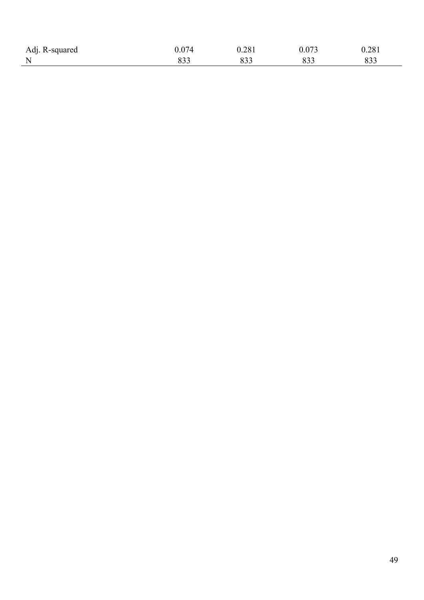| Adj. R-squared |             | 0.281       | 0.073 | 0.281 |
|----------------|-------------|-------------|-------|-------|
| N<br>. .       | on c<br>ບບປ | ററ്റ<br>833 |       |       |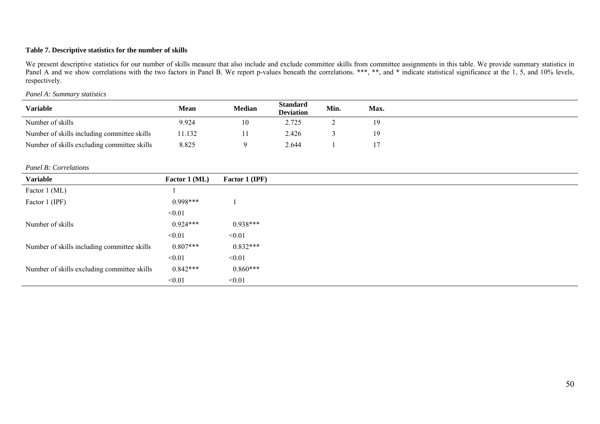### **Table 7. Descriptive statistics for the number of skills**

We present descriptive statistics for our number of skills measure that also include and exclude committee skills from committee assignments in this table. We provide summary statistics in Panel A and we show correlations with the two factors in Panel B. We report p-values beneath the correlations. \*\*\*, \*\*, and \* indicate statistical significance at the 1, 5, and 10% levels, respectively.

### *Panel A: Summary statistics*

| <b>Variable</b>                             | <b>Mean</b> | Median | Standard<br><b>Deviation</b> | Min. | Max. |  |
|---------------------------------------------|-------------|--------|------------------------------|------|------|--|
| Number of skills                            | 9.924       | 10     | 2.725                        |      |      |  |
| Number of skills including committee skills | 1.132       |        | 2.426                        |      |      |  |
| Number of skills excluding committee skills | 8.825       |        | 2.644                        |      |      |  |

#### *Panel B: Correlations*

| <b>Variable</b>                             | Factor 1 (ML) | Factor 1 (IPF) |
|---------------------------------------------|---------------|----------------|
| Factor 1 (ML)                               |               |                |
| Factor 1 (IPF)                              | $0.998***$    |                |
|                                             | < 0.01        |                |
| Number of skills                            | $0.924***$    | $0.938***$     |
|                                             | < 0.01        | < 0.01         |
| Number of skills including committee skills | $0.807***$    | $0.832***$     |
|                                             | < 0.01        | < 0.01         |
| Number of skills excluding committee skills | $0.842***$    | $0.860***$     |
|                                             | < 0.01        | < 0.01         |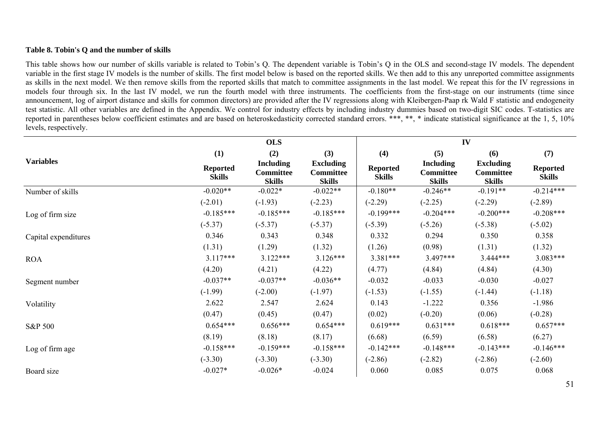### **Table 8. Tobin's Q and the number of skills**

This table shows how our number of skills variable is related to Tobin's Q. The dependent variable is Tobin's Q in the OLS and second-stage IV models. The dependent variable in the first stage IV models is the number of skills. The first model below is based on the reported skills. We then add to this any unreported committee assignments as skills in the next model. We then remove skills from the reported skills that match to committee assignments in the last model. We repeat this for the IV regressions in models four through six. In the last IV model, we run the fourth model with three instruments. The coefficients from the first-stage on our instruments (time since announcement, log of airport distance and skills for common directors) are provided after the IV regressions along with Kleibergen-Paap rk Wald F statistic and endogeneity test statistic. All other variables are defined in the Appendix. We control for industry effects by including industry dummies based on two-digit SIC codes. T-statistics are reported in parentheses below coefficient estimates and are based on heteroskedasticity corrected standard errors. \*\*\*, \*\*, \* indicate statistical significance at the 1, 5, 10% levels, respectively.

|                      |                                  | <b>OLS</b>                                            |                                                       | IV                               |                                                       |                                                       |                                  |  |
|----------------------|----------------------------------|-------------------------------------------------------|-------------------------------------------------------|----------------------------------|-------------------------------------------------------|-------------------------------------------------------|----------------------------------|--|
|                      | (1)                              | (2)                                                   | (3)                                                   | (4)                              | (5)                                                   | (6)                                                   | (7)                              |  |
| <b>Variables</b>     | <b>Reported</b><br><b>Skills</b> | <b>Including</b><br><b>Committee</b><br><b>Skills</b> | <b>Excluding</b><br><b>Committee</b><br><b>Skills</b> | <b>Reported</b><br><b>Skills</b> | <b>Including</b><br><b>Committee</b><br><b>Skills</b> | <b>Excluding</b><br><b>Committee</b><br><b>Skills</b> | <b>Reported</b><br><b>Skills</b> |  |
| Number of skills     | $-0.020**$                       | $-0.022*$                                             | $-0.022**$                                            | $-0.180**$                       | $-0.246**$                                            | $-0.191**$                                            | $-0.214***$                      |  |
|                      | $(-2.01)$                        | $(-1.93)$                                             | $(-2.23)$                                             | $(-2.29)$                        | $(-2.25)$                                             | $(-2.29)$                                             | $(-2.89)$                        |  |
| Log of firm size     | $-0.185***$                      | $-0.185***$                                           | $-0.185***$                                           | $-0.199***$                      | $-0.204***$                                           | $-0.200***$                                           | $-0.208***$                      |  |
|                      | $(-5.37)$                        | $(-5.37)$                                             | $(-5.37)$                                             | $(-5.39)$                        | $(-5.26)$                                             | $(-5.38)$                                             | $(-5.02)$                        |  |
| Capital expenditures | 0.346                            | 0.343                                                 | 0.348                                                 | 0.332                            | 0.294                                                 | 0.350                                                 | 0.358                            |  |
|                      | (1.31)                           | (1.29)                                                | (1.32)                                                | (1.26)                           | (0.98)                                                | (1.31)                                                | (1.32)                           |  |
| <b>ROA</b>           | $3.117***$                       | $3.122***$                                            | $3.126***$                                            | 3.381***                         | $3.497***$                                            | $3.444***$                                            | $3.083***$                       |  |
|                      | (4.20)                           | (4.21)                                                | (4.22)                                                | (4.77)                           | (4.84)                                                | (4.84)                                                | (4.30)                           |  |
| Segment number       | $-0.037**$                       | $-0.037**$                                            | $-0.036**$                                            | $-0.032$                         | $-0.033$                                              | $-0.030$                                              | $-0.027$                         |  |
|                      | $(-1.99)$                        | $(-2.00)$                                             | $(-1.97)$                                             | $(-1.53)$                        | $(-1.55)$                                             | $(-1.44)$                                             | $(-1.18)$                        |  |
| Volatility           | 2.622                            | 2.547                                                 | 2.624                                                 | 0.143                            | $-1.222$                                              | 0.356                                                 | $-1.986$                         |  |
|                      | (0.47)                           | (0.45)                                                | (0.47)                                                | (0.02)                           | $(-0.20)$                                             | (0.06)                                                | $(-0.28)$                        |  |
| S&P 500              | $0.654***$                       | $0.656***$                                            | $0.654***$                                            | $0.619***$                       | $0.631***$                                            | $0.618***$                                            | $0.657***$                       |  |
|                      | (8.19)                           | (8.18)                                                | (8.17)                                                | (6.68)                           | (6.59)                                                | (6.58)                                                | (6.27)                           |  |
| Log of firm age      | $-0.158***$                      | $-0.159***$                                           | $-0.158***$                                           | $-0.142***$                      | $-0.148***$                                           | $-0.143***$                                           | $-0.146***$                      |  |
|                      | $(-3.30)$                        | $(-3.30)$                                             | $(-3.30)$                                             | $(-2.86)$                        | $(-2.82)$                                             | $(-2.86)$                                             | $(-2.60)$                        |  |
| Board size           | $-0.027*$                        | $-0.026*$                                             | $-0.024$                                              | 0.060                            | 0.085                                                 | 0.075                                                 | 0.068                            |  |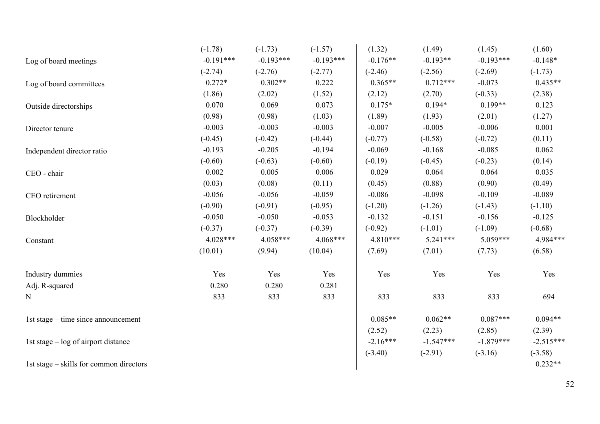|                                         | $(-1.78)$   | $(-1.73)$   | $(-1.57)$   | (1.32)     | (1.49)      | (1.45)      | (1.60)      |
|-----------------------------------------|-------------|-------------|-------------|------------|-------------|-------------|-------------|
| Log of board meetings                   | $-0.191***$ | $-0.193***$ | $-0.193***$ | $-0.176**$ | $-0.193**$  | $-0.193***$ | $-0.148*$   |
|                                         | $(-2.74)$   | $(-2.76)$   | $(-2.77)$   | $(-2.46)$  | $(-2.56)$   | $(-2.69)$   | $(-1.73)$   |
| Log of board committees                 | $0.272*$    | $0.302**$   | 0.222       | $0.365**$  | $0.712***$  | $-0.073$    | $0.435**$   |
|                                         | (1.86)      | (2.02)      | (1.52)      | (2.12)     | (2.70)      | $(-0.33)$   | (2.38)      |
| Outside directorships                   | 0.070       | 0.069       | 0.073       | $0.175*$   | $0.194*$    | $0.199**$   | 0.123       |
|                                         | (0.98)      | (0.98)      | (1.03)      | (1.89)     | (1.93)      | (2.01)      | (1.27)      |
| Director tenure                         | $-0.003$    | $-0.003$    | $-0.003$    | $-0.007$   | $-0.005$    | $-0.006$    | 0.001       |
|                                         | $(-0.45)$   | $(-0.42)$   | $(-0.44)$   | $(-0.77)$  | $(-0.58)$   | $(-0.72)$   | (0.11)      |
| Independent director ratio              | $-0.193$    | $-0.205$    | $-0.194$    | $-0.069$   | $-0.168$    | $-0.085$    | 0.062       |
|                                         | $(-0.60)$   | $(-0.63)$   | $(-0.60)$   | $(-0.19)$  | $(-0.45)$   | $(-0.23)$   | (0.14)      |
| CEO - chair                             | 0.002       | 0.005       | 0.006       | 0.029      | 0.064       | 0.064       | 0.035       |
|                                         | (0.03)      | (0.08)      | (0.11)      | (0.45)     | (0.88)      | (0.90)      | (0.49)      |
| CEO retirement                          | $-0.056$    | $-0.056$    | $-0.059$    | $-0.086$   | $-0.098$    | $-0.109$    | $-0.089$    |
|                                         | $(-0.90)$   | $(-0.91)$   | $(-0.95)$   | $(-1.20)$  | $(-1.26)$   | $(-1.43)$   | $(-1.10)$   |
| Blockholder                             | $-0.050$    | $-0.050$    | $-0.053$    | $-0.132$   | $-0.151$    | $-0.156$    | $-0.125$    |
|                                         | $(-0.37)$   | $(-0.37)$   | $(-0.39)$   | $(-0.92)$  | $(-1.01)$   | $(-1.09)$   | $(-0.68)$   |
| Constant                                | $4.028***$  | 4.058***    | $4.068***$  | $4.810***$ | $5.241***$  | $5.059***$  | 4.984***    |
|                                         | (10.01)     | (9.94)      | (10.04)     | (7.69)     | (7.01)      | (7.73)      | (6.58)      |
| Industry dummies                        | Yes         | Yes         | Yes         | Yes        | Yes         | Yes         | Yes         |
| Adj. R-squared                          | 0.280       | 0.280       | 0.281       |            |             |             |             |
| N                                       | 833         | 833         | 833         | 833        | 833         | 833         | 694         |
| 1st stage – time since announcement     |             |             |             | $0.085**$  | $0.062**$   | $0.087***$  | $0.094**$   |
|                                         |             |             |             | (2.52)     | (2.23)      | (2.85)      | (2.39)      |
| 1st stage $-$ log of airport distance   |             |             |             | $-2.16***$ | $-1.547***$ | $-1.879***$ | $-2.515***$ |
|                                         |             |             |             | $(-3.40)$  | $(-2.91)$   | $(-3.16)$   | $(-3.58)$   |
| 1st stage – skills for common directors |             |             |             |            |             |             | $0.232**$   |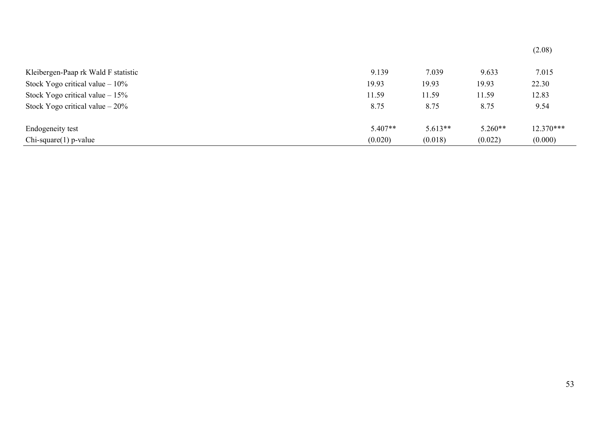| Kleibergen-Paap rk Wald F statistic | 9.139     | 7.039     | 9.633     | 7.015     |
|-------------------------------------|-----------|-----------|-----------|-----------|
| Stock Yogo critical value $-10\%$   | 19.93     | 19.93     | 19.93     | 22.30     |
| Stock Yogo critical value $-15\%$   | 11.59     | 11.59     | 11.59     | 12.83     |
| Stock Yogo critical value $-20\%$   | 8.75      | 8.75      | 8.75      | 9.54      |
| Endogeneity test                    | $5.407**$ | $5.613**$ | $5.260**$ | 12.370*** |
| $Chi-square(1) p-value$             | (0.020)   | (0.018)   | (0.022)   | (0.000)   |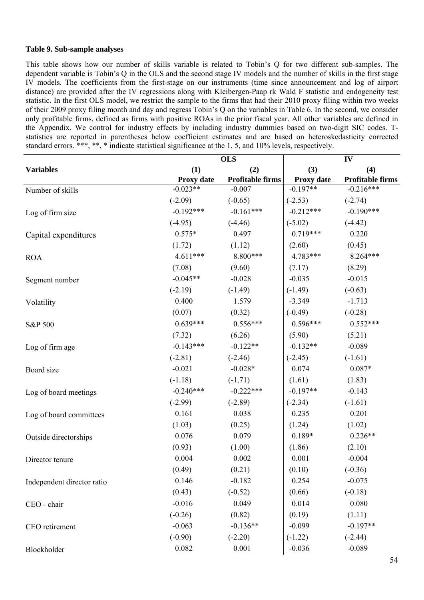### **Table 9. Sub-sample analyses**

This table shows how our number of skills variable is related to Tobin's Q for two different sub-samples. The dependent variable is Tobin's Q in the OLS and the second stage IV models and the number of skills in the first stage IV models. The coefficients from the first-stage on our instruments (time since announcement and log of airport distance) are provided after the IV regressions along with Kleibergen-Paap rk Wald F statistic and endogeneity test statistic. In the first OLS model, we restrict the sample to the firms that had their 2010 proxy filing within two weeks of their 2009 proxy filing month and day and regress Tobin's Q on the variables in Table 6. In the second, we consider only profitable firms, defined as firms with positive ROAs in the prior fiscal year. All other variables are defined in the Appendix. We control for industry effects by including industry dummies based on two-digit SIC codes. Tstatistics are reported in parentheses below coefficient estimates and are based on heteroskedasticity corrected standard errors. \*\*\*, \*\*, \* indicate statistical significance at the 1, 5, and 10% levels, respectively.

|                            | <b>OLS</b>  |                         |             | IV                      |  |
|----------------------------|-------------|-------------------------|-------------|-------------------------|--|
| <b>Variables</b>           | (1)         | (2)                     | (3)         | (4)                     |  |
|                            | Proxy date  | <b>Profitable firms</b> | Proxy date  | <b>Profitable firms</b> |  |
| Number of skills           | $-0.023**$  | $-0.007$                | $-0.197**$  | $-0.216***$             |  |
|                            | $(-2.09)$   | $(-0.65)$               | $(-2.53)$   | $(-2.74)$               |  |
| Log of firm size           | $-0.192***$ | $-0.161***$             | $-0.212***$ | $-0.190***$             |  |
|                            | $(-4.95)$   | $(-4.46)$               | $(-5.02)$   | $(-4.42)$               |  |
| Capital expenditures       | $0.575*$    | 0.497                   | $0.719***$  | 0.220                   |  |
|                            | (1.72)      | (1.12)                  | (2.60)      | (0.45)                  |  |
| <b>ROA</b>                 | $4.611***$  | 8.800***                | 4.783***    | 8.264***                |  |
|                            | (7.08)      | (9.60)                  | (7.17)      | (8.29)                  |  |
| Segment number             | $-0.045**$  | $-0.028$                | $-0.035$    | $-0.015$                |  |
|                            | $(-2.19)$   | $(-1.49)$               | $(-1.49)$   | $(-0.63)$               |  |
| Volatility                 | 0.400       | 1.579                   | $-3.349$    | $-1.713$                |  |
|                            | (0.07)      | (0.32)                  | $(-0.49)$   | $(-0.28)$               |  |
| S&P 500                    | $0.639***$  | $0.556***$              | $0.596***$  | $0.552***$              |  |
|                            | (7.32)      | (6.26)                  | (5.90)      | (5.21)                  |  |
| Log of firm age            | $-0.143***$ | $-0.122**$              | $-0.132**$  | $-0.089$                |  |
|                            | $(-2.81)$   | $(-2.46)$               | $(-2.45)$   | $(-1.61)$               |  |
| Board size                 | $-0.021$    | $-0.028*$               | 0.074       | $0.087*$                |  |
|                            | $(-1.18)$   | $(-1.71)$               | (1.61)      | (1.83)                  |  |
| Log of board meetings      | $-0.240***$ | $-0.222***$             | $-0.197**$  | $-0.143$                |  |
|                            | $(-2.99)$   | $(-2.89)$               | $(-2.34)$   | $(-1.61)$               |  |
| Log of board committees    | 0.161       | 0.038                   | 0.235       | 0.201                   |  |
|                            | (1.03)      | (0.25)                  | (1.24)      | (1.02)                  |  |
| Outside directorships      | 0.076       | 0.079                   | $0.189*$    | $0.226**$               |  |
|                            | (0.93)      | (1.00)                  | (1.86)      | (2.10)                  |  |
| Director tenure            | 0.004       | 0.002                   | 0.001       | $-0.004$                |  |
|                            | (0.49)      | (0.21)                  | (0.10)      | $(-0.36)$               |  |
| Independent director ratio | 0.146       | $-0.182$                | 0.254       | $-0.075$                |  |
|                            | (0.43)      | $(-0.52)$               | (0.66)      | $(-0.18)$               |  |
| CEO - chair                | $-0.016$    | 0.049                   | 0.014       | 0.080                   |  |
|                            | $(-0.26)$   | (0.82)                  | (0.19)      | (1.11)                  |  |
| CEO retirement             | $-0.063$    | $-0.136**$              | $-0.099$    | $-0.197**$              |  |
|                            | $(-0.90)$   | $(-2.20)$               | $(-1.22)$   | $(-2.44)$               |  |
| Blockholder                | 0.082       | 0.001                   | $-0.036$    | $-0.089$                |  |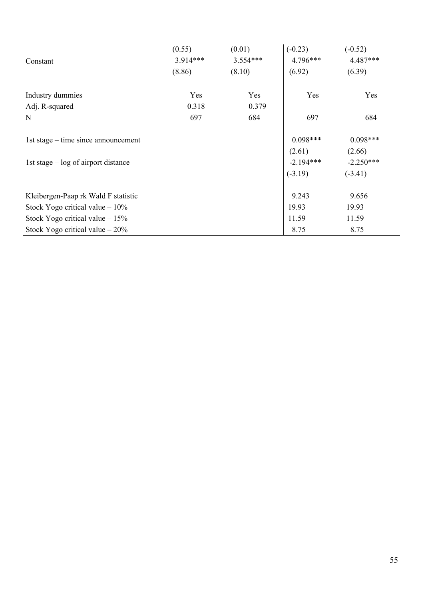|                                       | (0.55)   | (0.01)     | $(-0.23)$   | $(-0.52)$   |
|---------------------------------------|----------|------------|-------------|-------------|
| Constant                              | 3.914*** | $3.554***$ | $4.796***$  | 4.487***    |
|                                       | (8.86)   | (8.10)     | (6.92)      | (6.39)      |
| Industry dummies                      | Yes      | Yes        | Yes         | Yes         |
| Adj. R-squared                        | 0.318    | 0.379      |             |             |
| N                                     | 697      | 684        | 697         | 684         |
| 1st stage – time since announcement   |          |            | $0.098***$  | $0.098***$  |
|                                       |          |            | (2.61)      | (2.66)      |
| 1st stage $-$ log of airport distance |          |            | $-2.194***$ | $-2.250***$ |
|                                       |          |            | $(-3.19)$   | $(-3.41)$   |
| Kleibergen-Paap rk Wald F statistic   |          |            | 9.243       | 9.656       |
| Stock Yogo critical value $-10\%$     |          |            | 19.93       | 19.93       |
| Stock Yogo critical value $-15%$      |          |            | 11.59       | 11.59       |
| Stock Yogo critical value $-20\%$     |          |            | 8.75        | 8.75        |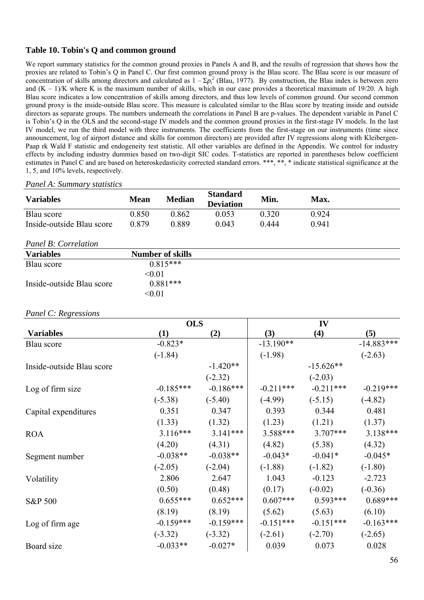# **Table 10. Tobin's Q and common ground**

We report summary statistics for the common ground proxies in Panels A and B, and the results of regression that shows how the proxies are related to Tobin's Q in Panel C. Our first common ground proxy is the Blau score. The Blau score is our measure of concentration of skills among directors and calculated as  $1 - \Sigma p_i^2$  (Blau, 1977). By construction, the Blau index is between zero and  $(K - 1)/K$  where K is the maximum number of skills, which in our case provides a theoretical maximum of 19/20. A high Blau score indicates a low concentration of skills among directors, and thus low levels of common ground. Our second common ground proxy is the inside-outside Blau score. This measure is calculated similar to the Blau score by treating inside and outside directors as separate groups. The numbers underneath the correlations in Panel B are p-values. The dependent variable in Panel C is Tobin's Q in the OLS and the second-stage IV models and the common ground proxies in the first-stage IV models. In the last IV model, we run the third model with three instruments. The coefficients from the first-stage on our instruments (time since announcement, log of airport distance and skills for common directors) are provided after IV regressions along with Kleibergen-Paap rk Wald F statistic and endogeneity test statistic. All other variables are defined in the Appendix. We control for industry effects by including industry dummies based on two-digit SIC codes. T-statistics are reported in parentheses below coefficient estimates in Panel C and are based on heteroskedasticity corrected standard errors. \*\*\*, \*\*, \* indicate statistical significance at the 1, 5, and 10% levels, respectively.

### *Panel A: Summary statistics*

| <b>Variables</b>          | <b>Mean</b> | Median | <b>Standard</b><br><b>Deviation</b> | Min.  | Max.  |
|---------------------------|-------------|--------|-------------------------------------|-------|-------|
| Blau score                | 0.850       | 0.862  | 0.053                               | 0.320 | 0.924 |
| Inside-outside Blau score | 0.879       | 0.889  | 9.043                               | 0 444 | 0.941 |

#### *Panel B: Correlation*

| <b>Variables</b>          | <b>Number of skills</b> |  |
|---------------------------|-------------------------|--|
| Blau score                | $0.815***$              |  |
|                           | < 0.01                  |  |
| Inside-outside Blau score | $0.881***$              |  |
|                           | < 0.01                  |  |

### *Panel C: Regressions*

|                           | <b>OLS</b>  |             |             | IV          |              |
|---------------------------|-------------|-------------|-------------|-------------|--------------|
| <b>Variables</b>          | (1)         | (2)         | (3)         | (4)         | (5)          |
| Blau score                | $-0.823*$   |             | $-13.190**$ |             | $-14.883***$ |
|                           | $(-1.84)$   |             | $(-1.98)$   |             | $(-2.63)$    |
| Inside-outside Blau score |             | $-1.420**$  |             | $-15.626**$ |              |
|                           |             | $(-2.32)$   |             | $(-2.03)$   |              |
| Log of firm size          | $-0.185***$ | $-0.186***$ | $-0.211***$ | $-0.211***$ | $-0.219***$  |
|                           | $(-5.38)$   | $(-5.40)$   | $(-4.99)$   | $(-5.15)$   | $(-4.82)$    |
| Capital expenditures      | 0.351       | 0.347       | 0.393       | 0.344       | 0.481        |
|                           | (1.33)      | (1.32)      | (1.23)      | (1.21)      | (1.37)       |
| <b>ROA</b>                | $3.116***$  | $3.141***$  | 3.588***    | $3.707***$  | $3.138***$   |
|                           | (4.20)      | (4.31)      | (4.82)      | (5.38)      | (4.32)       |
| Segment number            | $-0.038**$  | $-0.038**$  | $-0.043*$   | $-0.041*$   | $-0.045*$    |
|                           | $(-2.05)$   | $(-2.04)$   | $(-1.88)$   | $(-1.82)$   | $(-1.80)$    |
| Volatility                | 2.806       | 2.647       | 1.043       | $-0.123$    | $-2.723$     |
|                           | (0.50)      | (0.48)      | (0.17)      | $(-0.02)$   | $(-0.36)$    |
| S&P 500                   | $0.655***$  | $0.652***$  | $0.607***$  | $0.593***$  | $0.689***$   |
|                           | (8.19)      | (8.19)      | (5.62)      | (5.63)      | (6.10)       |
| Log of firm age           | $-0.159***$ | $-0.159***$ | $-0.151***$ | $-0.151***$ | $-0.163***$  |
|                           | $(-3.32)$   | $(-3.32)$   | $(-2.61)$   | $(-2.70)$   | $(-2.65)$    |
| Board size                | $-0.033**$  | $-0.027*$   | 0.039       | 0.073       | 0.028        |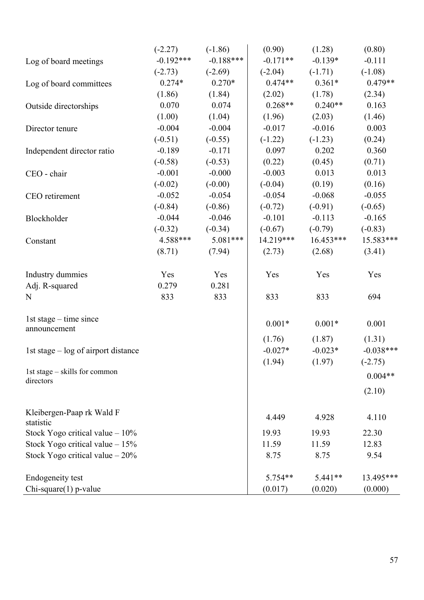|                                            | $(-2.27)$   | $(-1.86)$   | (0.90)      | (1.28)      | (0.80)      |
|--------------------------------------------|-------------|-------------|-------------|-------------|-------------|
| Log of board meetings                      | $-0.192***$ | $-0.188***$ | $-0.171**$  | $-0.139*$   | $-0.111$    |
|                                            | $(-2.73)$   | $(-2.69)$   | $(-2.04)$   | $(-1.71)$   | $(-1.08)$   |
| Log of board committees                    | $0.274*$    | $0.270*$    | $0.474**$   | $0.361*$    | $0.479**$   |
|                                            | (1.86)      | (1.84)      | (2.02)      | (1.78)      | (2.34)      |
| Outside directorships                      | 0.070       | 0.074       | $0.268**$   | $0.240**$   | 0.163       |
|                                            | (1.00)      | (1.04)      | (1.96)      | (2.03)      | (1.46)      |
| Director tenure                            | $-0.004$    | $-0.004$    | $-0.017$    | $-0.016$    | 0.003       |
|                                            | $(-0.51)$   | $(-0.55)$   | $(-1.22)$   | $(-1.23)$   | (0.24)      |
| Independent director ratio                 | $-0.189$    | $-0.171$    | 0.097       | 0.202       | 0.360       |
|                                            | $(-0.58)$   | $(-0.53)$   | (0.22)      | (0.45)      | (0.71)      |
| CEO - chair                                | $-0.001$    | $-0.000$    | $-0.003$    | 0.013       | 0.013       |
|                                            | $(-0.02)$   | $(-0.00)$   | $(-0.04)$   | (0.19)      | (0.16)      |
| CEO retirement                             | $-0.052$    | $-0.054$    | $-0.054$    | $-0.068$    | $-0.055$    |
|                                            | $(-0.84)$   | $(-0.86)$   | $(-0.72)$   | $(-0.91)$   | $(-0.65)$   |
| Blockholder                                | $-0.044$    | $-0.046$    | $-0.101$    | $-0.113$    | $-0.165$    |
|                                            | $(-0.32)$   | $(-0.34)$   | $(-0.67)$   | $(-0.79)$   | $(-0.83)$   |
| Constant                                   | $4.588***$  | $5.081***$  | $14.219***$ | $16.453***$ | 15.583***   |
|                                            | (8.71)      | (7.94)      | (2.73)      | (2.68)      | (3.41)      |
| Industry dummies                           | Yes         | Yes         | Yes         | Yes         | Yes         |
| Adj. R-squared                             | 0.279       | 0.281       |             |             |             |
| N                                          | 833         | 833         | 833         | 833         | 694         |
| 1st stage $-$ time since<br>announcement   |             |             | $0.001*$    | $0.001*$    | 0.001       |
|                                            |             |             | (1.76)      | (1.87)      | (1.31)      |
| 1st stage – log of airport distance        |             |             | $-0.027*$   | $-0.023*$   | $-0.038***$ |
|                                            |             |             | (1.94)      | (1.97)      | $(-2.75)$   |
| 1st stage – skills for common<br>directors |             |             |             |             | $0.004**$   |
|                                            |             |             |             |             | (2.10)      |
| Kleibergen-Paap rk Wald F<br>statistic     |             |             | 4.449       | 4.928       | 4.110       |
| Stock Yogo critical value $-10\%$          |             |             | 19.93       | 19.93       | 22.30       |
| Stock Yogo critical value $-15%$           |             |             | 11.59       | 11.59       | 12.83       |
| Stock Yogo critical value $-20\%$          |             |             | 8.75        | 8.75        | 9.54        |
| <b>Endogeneity</b> test                    |             |             | 5.754**     | 5.441**     | 13.495***   |
| $Chi$ -square $(1)$ p-value                |             |             | (0.017)     | (0.020)     | (0.000)     |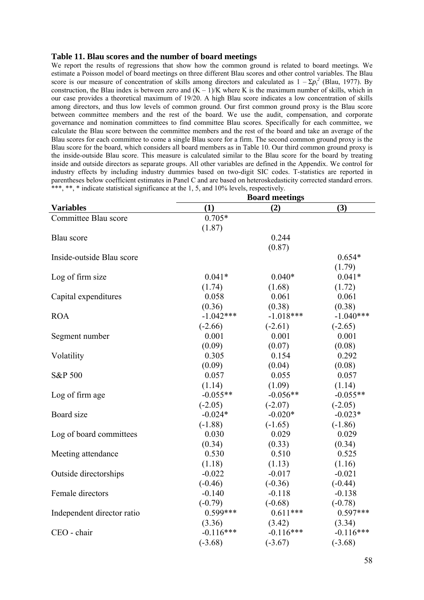#### **Table 11. Blau scores and the number of board meetings**

We report the results of regressions that show how the common ground is related to board meetings. We estimate a Poisson model of board meetings on three different Blau scores and other control variables. The Blau score is our measure of concentration of skills among directors and calculated as  $1 - \Sigma p_i^2$  (Blau, 1977). By construction, the Blau index is between zero and  $(K - 1)/K$  where K is the maximum number of skills, which in our case provides a theoretical maximum of 19/20. A high Blau score indicates a low concentration of skills among directors, and thus low levels of common ground. Our first common ground proxy is the Blau score between committee members and the rest of the board. We use the audit, compensation, and corporate governance and nomination committees to find committee Blau scores. Specifically for each committee, we calculate the Blau score between the committee members and the rest of the board and take an average of the Blau scores for each committee to come a single Blau score for a firm. The second common ground proxy is the Blau score for the board, which considers all board members as in Table 10. Our third common ground proxy is the inside-outside Blau score. This measure is calculated similar to the Blau score for the board by treating inside and outside directors as separate groups. All other variables are defined in the Appendix. We control for industry effects by including industry dummies based on two-digit SIC codes. T-statistics are reported in parentheses below coefficient estimates in Panel C and are based on heteroskedasticity corrected standard errors. \*\*\*, \*\*, \* indicate statistical significance at the 1, 5, and 10% levels, respectively.

|                            | <b>Board meetings</b> |             |             |  |
|----------------------------|-----------------------|-------------|-------------|--|
| <b>Variables</b>           | (1)                   | (2)         | (3)         |  |
| Committee Blau score       | $0.705*$              |             |             |  |
|                            | (1.87)                |             |             |  |
| Blau score                 |                       | 0.244       |             |  |
|                            |                       | (0.87)      |             |  |
| Inside-outside Blau score  |                       |             | $0.654*$    |  |
|                            |                       |             | (1.79)      |  |
| Log of firm size           | $0.041*$              | $0.040*$    | $0.041*$    |  |
|                            | (1.74)                | (1.68)      | (1.72)      |  |
| Capital expenditures       | 0.058                 | 0.061       | 0.061       |  |
|                            | (0.36)                | (0.38)      | (0.38)      |  |
| <b>ROA</b>                 | $-1.042***$           | $-1.018***$ | $-1.040***$ |  |
|                            | $(-2.66)$             | $(-2.61)$   | $(-2.65)$   |  |
| Segment number             | 0.001                 | 0.001       | 0.001       |  |
|                            | (0.09)                | (0.07)      | (0.08)      |  |
| Volatility                 | 0.305                 | 0.154       | 0.292       |  |
|                            | (0.09)                | (0.04)      | (0.08)      |  |
| S&P 500                    | 0.057                 | 0.055       | 0.057       |  |
|                            | (1.14)                | (1.09)      | (1.14)      |  |
| Log of firm age            | $-0.055**$            | $-0.056**$  | $-0.055**$  |  |
|                            | $(-2.05)$             | $(-2.07)$   | $(-2.05)$   |  |
| Board size                 | $-0.024*$             | $-0.020*$   | $-0.023*$   |  |
|                            | $(-1.88)$             | $(-1.65)$   | $(-1.86)$   |  |
| Log of board committees    | 0.030                 | 0.029       | 0.029       |  |
|                            | (0.34)                | (0.33)      | (0.34)      |  |
| Meeting attendance         | 0.530                 | 0.510       | 0.525       |  |
|                            | (1.18)                | (1.13)      | (1.16)      |  |
| Outside directorships      | $-0.022$              | $-0.017$    | $-0.021$    |  |
|                            | $(-0.46)$             | $(-0.36)$   | $(-0.44)$   |  |
| Female directors           | $-0.140$              | $-0.118$    | $-0.138$    |  |
|                            | $(-0.79)$             | $(-0.68)$   | $(-0.78)$   |  |
| Independent director ratio | $0.599***$            | $0.611***$  | $0.597***$  |  |
|                            | (3.36)                | (3.42)      | (3.34)      |  |
| CEO - chair                | $-0.116***$           | $-0.116***$ | $-0.116***$ |  |
|                            | $(-3.68)$             | $(-3.67)$   | $(-3.68)$   |  |